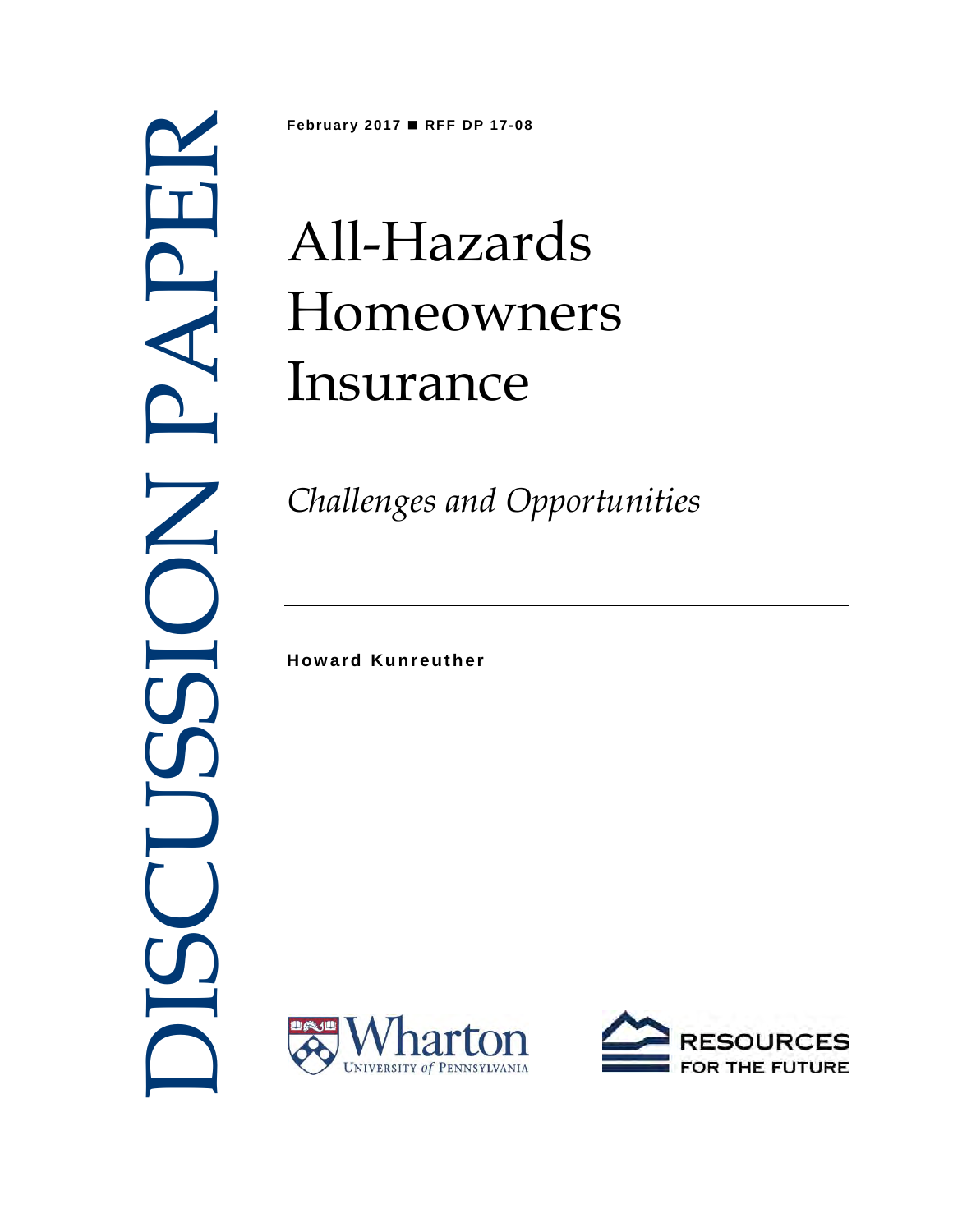

**February 2017 RFF DP 17-08**

# All-Hazards Homeowners Insurance

*Challenges and Opportunities* 

**Howard Kunreuther** 



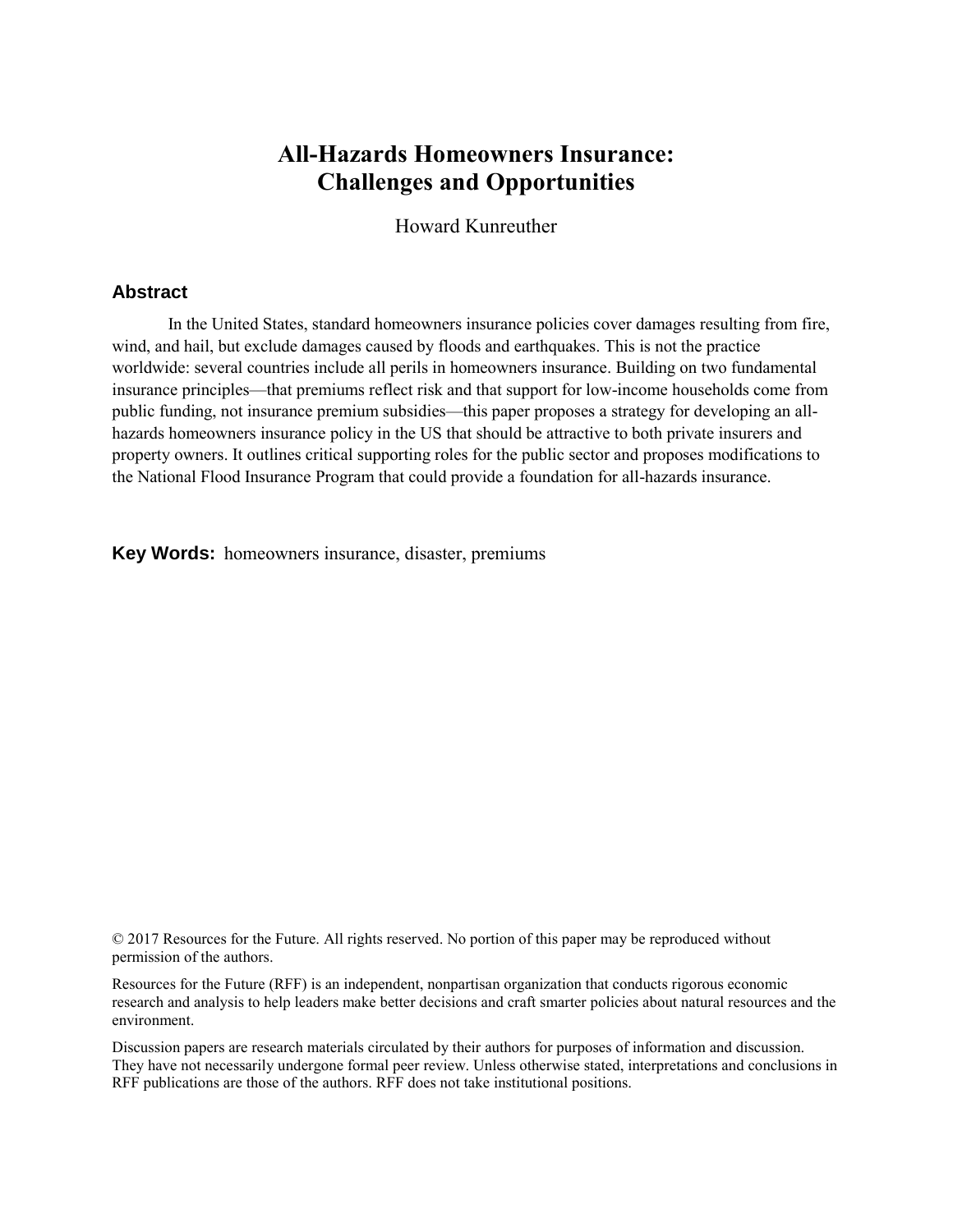# **All-Hazards Homeowners Insurance: Challenges and Opportunities**

Howard Kunreuther

### **Abstract**

In the United States, standard homeowners insurance policies cover damages resulting from fire, wind, and hail, but exclude damages caused by floods and earthquakes. This is not the practice worldwide: several countries include all perils in homeowners insurance. Building on two fundamental insurance principles—that premiums reflect risk and that support for low-income households come from public funding, not insurance premium subsidies—this paper proposes a strategy for developing an allhazards homeowners insurance policy in the US that should be attractive to both private insurers and property owners. It outlines critical supporting roles for the public sector and proposes modifications to the National Flood Insurance Program that could provide a foundation for all-hazards insurance.

**Key Words:** homeowners insurance, disaster, premiums

© 2017 Resources for the Future. All rights reserved. No portion of this paper may be reproduced without permission of the authors.

Resources for the Future (RFF) is an independent, nonpartisan organization that conducts rigorous economic research and analysis to help leaders make better decisions and craft smarter policies about natural resources and the environment.

Discussion papers are research materials circulated by their authors for purposes of information and discussion. They have not necessarily undergone formal peer review. Unless otherwise stated, interpretations and conclusions in RFF publications are those of the authors. RFF does not take institutional positions.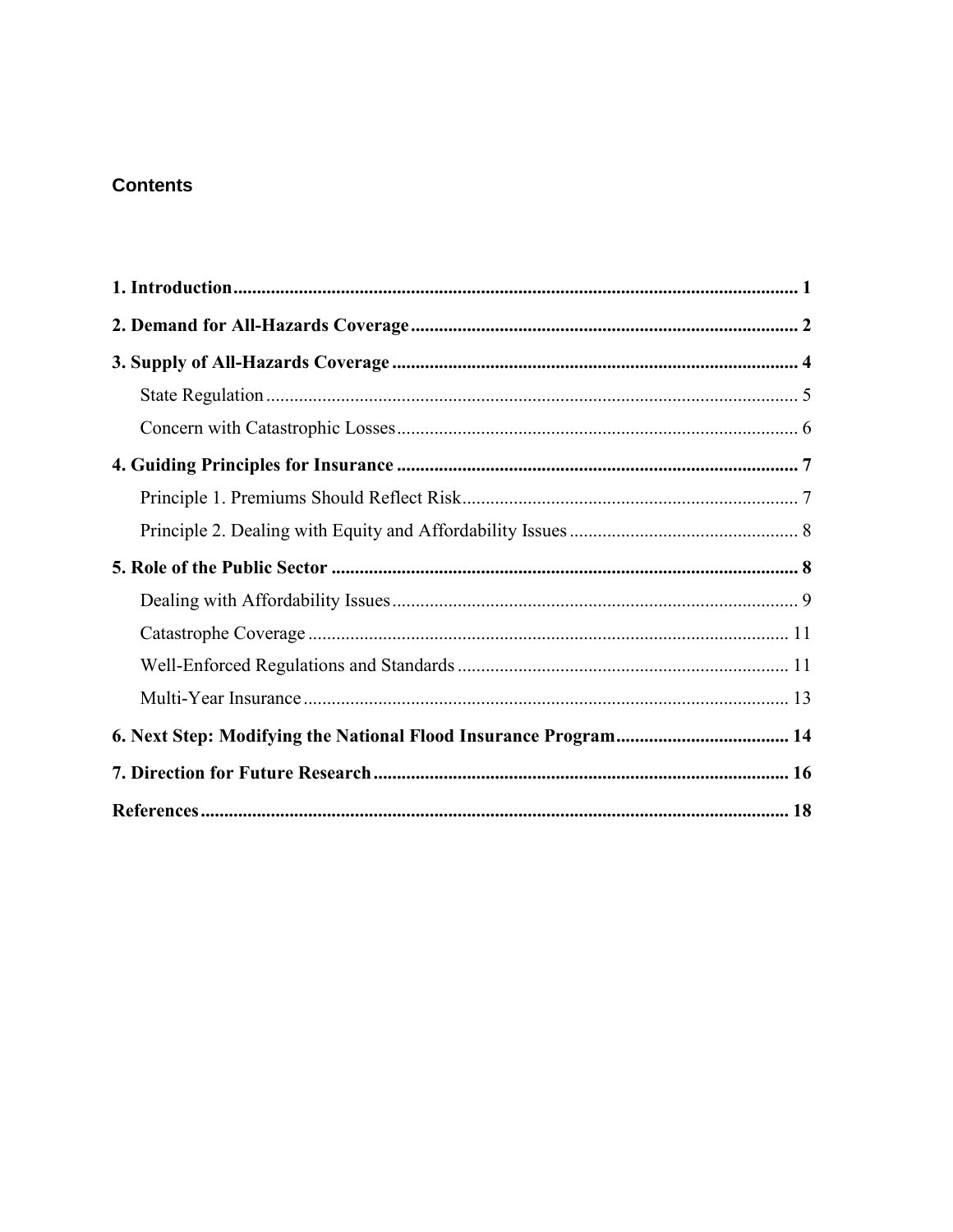# **Contents**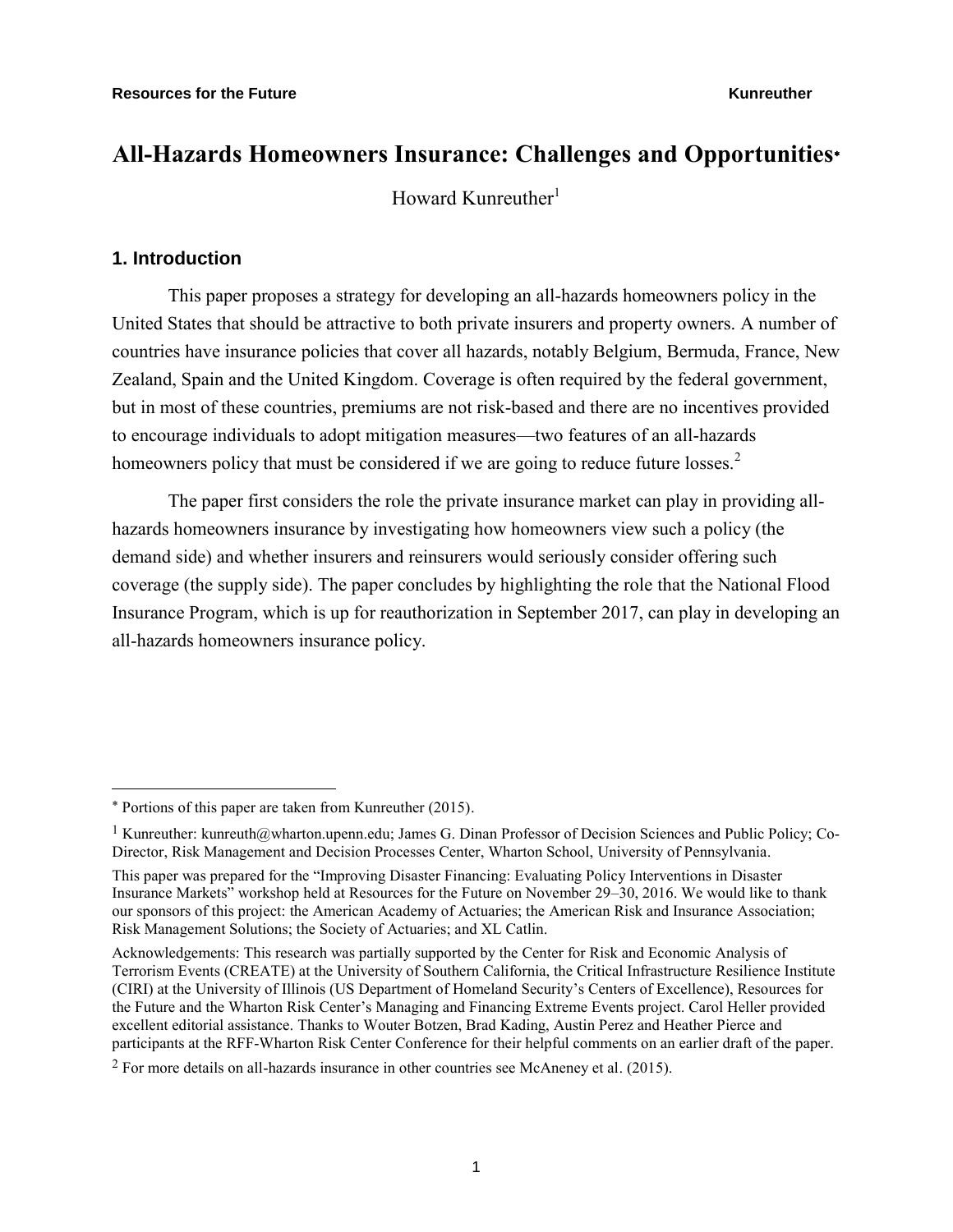# **All-Hazards Homeowners Insurance: Challenges and Opportunities**

Howard Kunreuther $<sup>1</sup>$ </sup>

## **1. Introduction**

 $\overline{a}$ 

This paper proposes a strategy for developing an all-hazards homeowners policy in the United States that should be attractive to both private insurers and property owners. A number of countries have insurance policies that cover all hazards, notably Belgium, Bermuda, France, New Zealand, Spain and the United Kingdom. Coverage is often required by the federal government, but in most of these countries, premiums are not risk-based and there are no incentives provided to encourage individuals to adopt mitigation measures—two features of an all-hazards homeowners policy that must be considered if we are going to reduce future losses.<sup>2</sup>

The paper first considers the role the private insurance market can play in providing allhazards homeowners insurance by investigating how homeowners view such a policy (the demand side) and whether insurers and reinsurers would seriously consider offering such coverage (the supply side). The paper concludes by highlighting the role that the National Flood Insurance Program, which is up for reauthorization in September 2017, can play in developing an all-hazards homeowners insurance policy.

Portions of this paper are taken from Kunreuther (2015).

<sup>&</sup>lt;sup>1</sup> Kunreuther: [kunreuth@wharton.upenn.edu;](mailto:kunreuth@wharton.upenn.edu) James G. Dinan Professor of Decision Sciences and Public Policy; Co-Director, Risk Management and Decision Processes Center, Wharton School, University of Pennsylvania.

This paper was prepared for the "Improving Disaster Financing: Evaluating Policy Interventions in Disaster Insurance Markets" workshop held at Resources for the Future on November 29–30, 2016. We would like to thank our sponsors of this project: the American Academy of Actuaries; the American Risk and Insurance Association; Risk Management Solutions; the Society of Actuaries; and XL Catlin.

Acknowledgements: This research was partially supported by the Center for Risk and Economic Analysis of Terrorism Events (CREATE) at the University of Southern California, the Critical Infrastructure Resilience Institute (CIRI) at the University of Illinois (US Department of Homeland Security's Centers of Excellence), Resources for the Future and the Wharton Risk Center's Managing and Financing Extreme Events project. Carol Heller provided excellent editorial assistance. Thanks to Wouter Botzen, Brad Kading, Austin Perez and Heather Pierce and participants at the RFF-Wharton Risk Center Conference for their helpful comments on an earlier draft of the paper.

<sup>2</sup> For more details on all-hazards insurance in other countries see McAneney et al. (2015).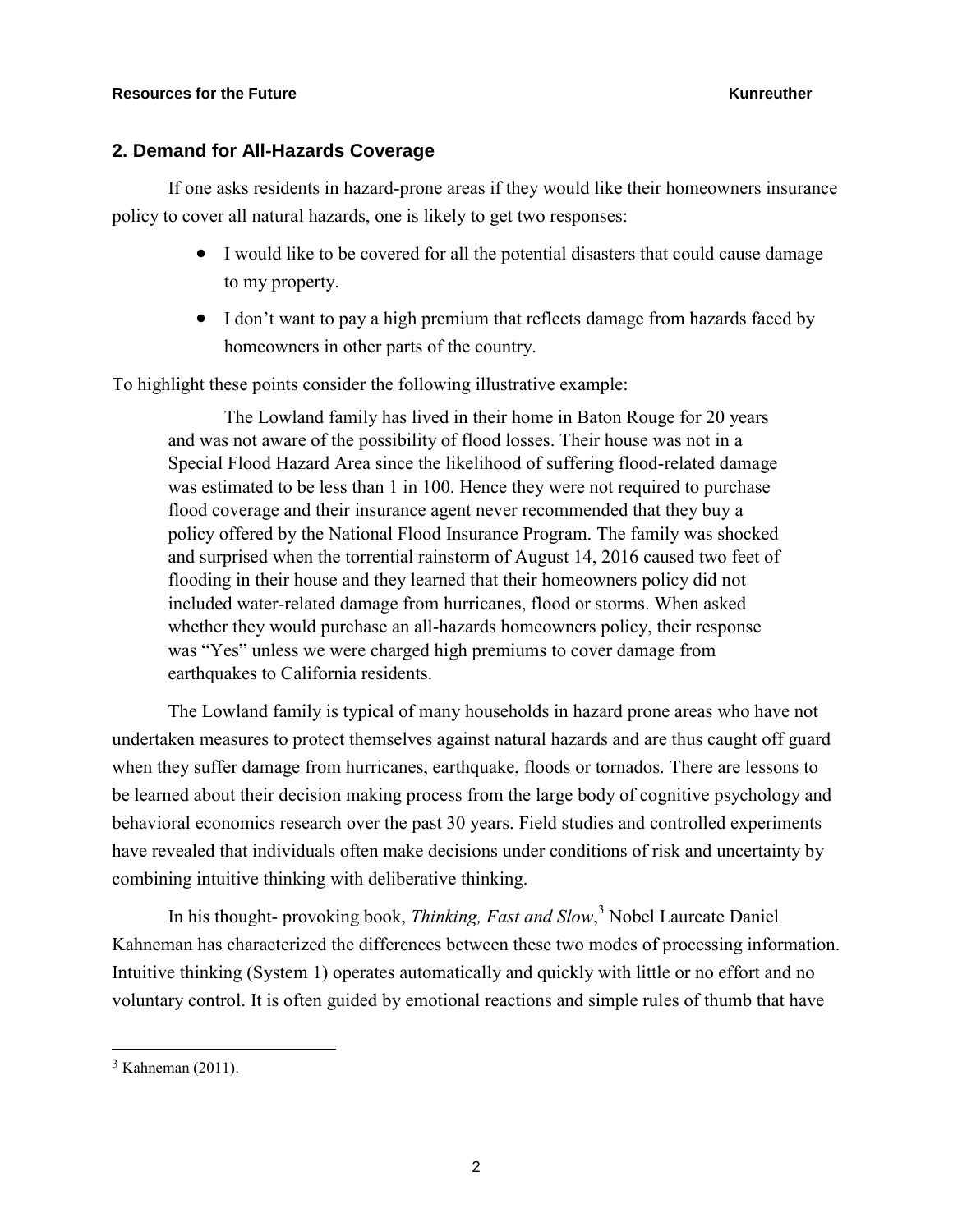### **2. Demand for All-Hazards Coverage**

If one asks residents in hazard-prone areas if they would like their homeowners insurance policy to cover all natural hazards, one is likely to get two responses:

- I would like to be covered for all the potential disasters that could cause damage to my property.
- I don't want to pay a high premium that reflects damage from hazards faced by homeowners in other parts of the country.

To highlight these points consider the following illustrative example:

The Lowland family has lived in their home in Baton Rouge for 20 years and was not aware of the possibility of flood losses. Their house was not in a Special Flood Hazard Area since the likelihood of suffering flood-related damage was estimated to be less than 1 in 100. Hence they were not required to purchase flood coverage and their insurance agent never recommended that they buy a policy offered by the National Flood Insurance Program. The family was shocked and surprised when the torrential rainstorm of August 14, 2016 caused two feet of flooding in their house and they learned that their homeowners policy did not included water-related damage from hurricanes, flood or storms. When asked whether they would purchase an all-hazards homeowners policy, their response was "Yes" unless we were charged high premiums to cover damage from earthquakes to California residents.

The Lowland family is typical of many households in hazard prone areas who have not undertaken measures to protect themselves against natural hazards and are thus caught off guard when they suffer damage from hurricanes, earthquake, floods or tornados. There are lessons to be learned about their decision making process from the large body of cognitive psychology and behavioral economics research over the past 30 years. Field studies and controlled experiments have revealed that individuals often make decisions under conditions of risk and uncertainty by combining intuitive thinking with deliberative thinking.

In his thought- provoking book, *Thinking, Fast and Slow*, <sup>3</sup> Nobel Laureate Daniel Kahneman has characterized the differences between these two modes of processing information. Intuitive thinking (System 1) operates automatically and quickly with little or no effort and no voluntary control. It is often guided by emotional reactions and simple rules of thumb that have

<sup>3</sup> Kahneman (2011).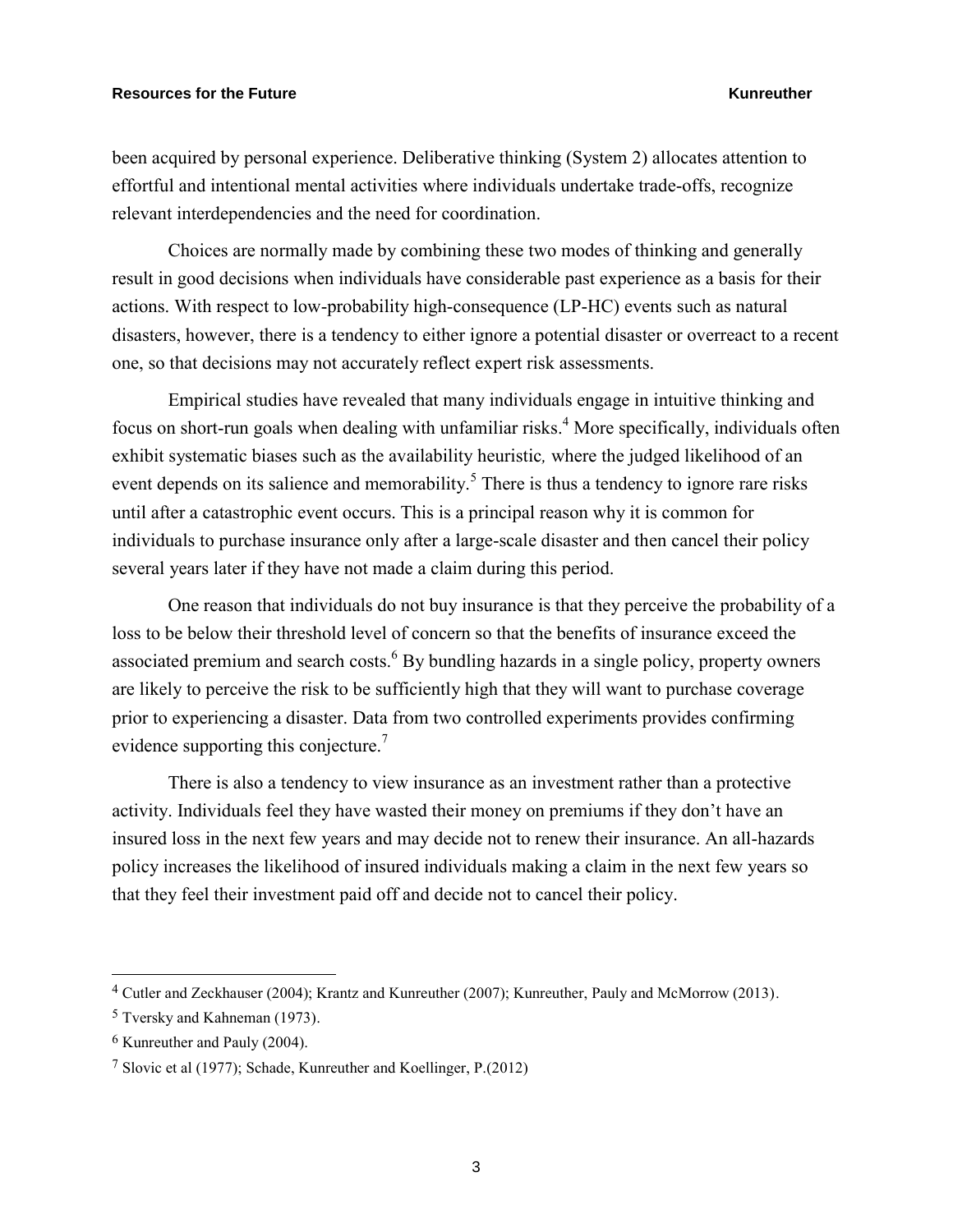been acquired by personal experience. Deliberative thinking (System 2) allocates attention to effortful and intentional mental activities where individuals undertake trade-offs, recognize relevant interdependencies and the need for coordination.

Choices are normally made by combining these two modes of thinking and generally result in good decisions when individuals have considerable past experience as a basis for their actions. With respect to low-probability high-consequence (LP-HC) events such as natural disasters, however, there is a tendency to either ignore a potential disaster or overreact to a recent one, so that decisions may not accurately reflect expert risk assessments.

Empirical studies have revealed that many individuals engage in intuitive thinking and focus on short-run goals when dealing with unfamiliar risks.<sup>4</sup> More specifically, individuals often exhibit systematic biases such as the availability heuristic*,* where the judged likelihood of an event depends on its salience and memorability.<sup>5</sup> There is thus a tendency to ignore rare risks until after a catastrophic event occurs. This is a principal reason why it is common for individuals to purchase insurance only after a large-scale disaster and then cancel their policy several years later if they have not made a claim during this period.

One reason that individuals do not buy insurance is that they perceive the probability of a loss to be below their threshold level of concern so that the benefits of insurance exceed the associated premium and search costs. $6$  By bundling hazards in a single policy, property owners are likely to perceive the risk to be sufficiently high that they will want to purchase coverage prior to experiencing a disaster. Data from two controlled experiments provides confirming evidence supporting this conjecture.<sup>7</sup>

There is also a tendency to view insurance as an investment rather than a protective activity. Individuals feel they have wasted their money on premiums if they don't have an insured loss in the next few years and may decide not to renew their insurance. An all-hazards policy increases the likelihood of insured individuals making a claim in the next few years so that they feel their investment paid off and decide not to cancel their policy.

<sup>4</sup> Cutler and Zeckhauser (2004); Krantz and Kunreuther (2007); Kunreuther, Pauly and McMorrow (2013).

<sup>5</sup> Tversky and Kahneman (1973).

<sup>6</sup> Kunreuther and Pauly (2004).

<sup>7</sup> Slovic et al (1977); Schade, Kunreuther and Koellinger, P.(2012)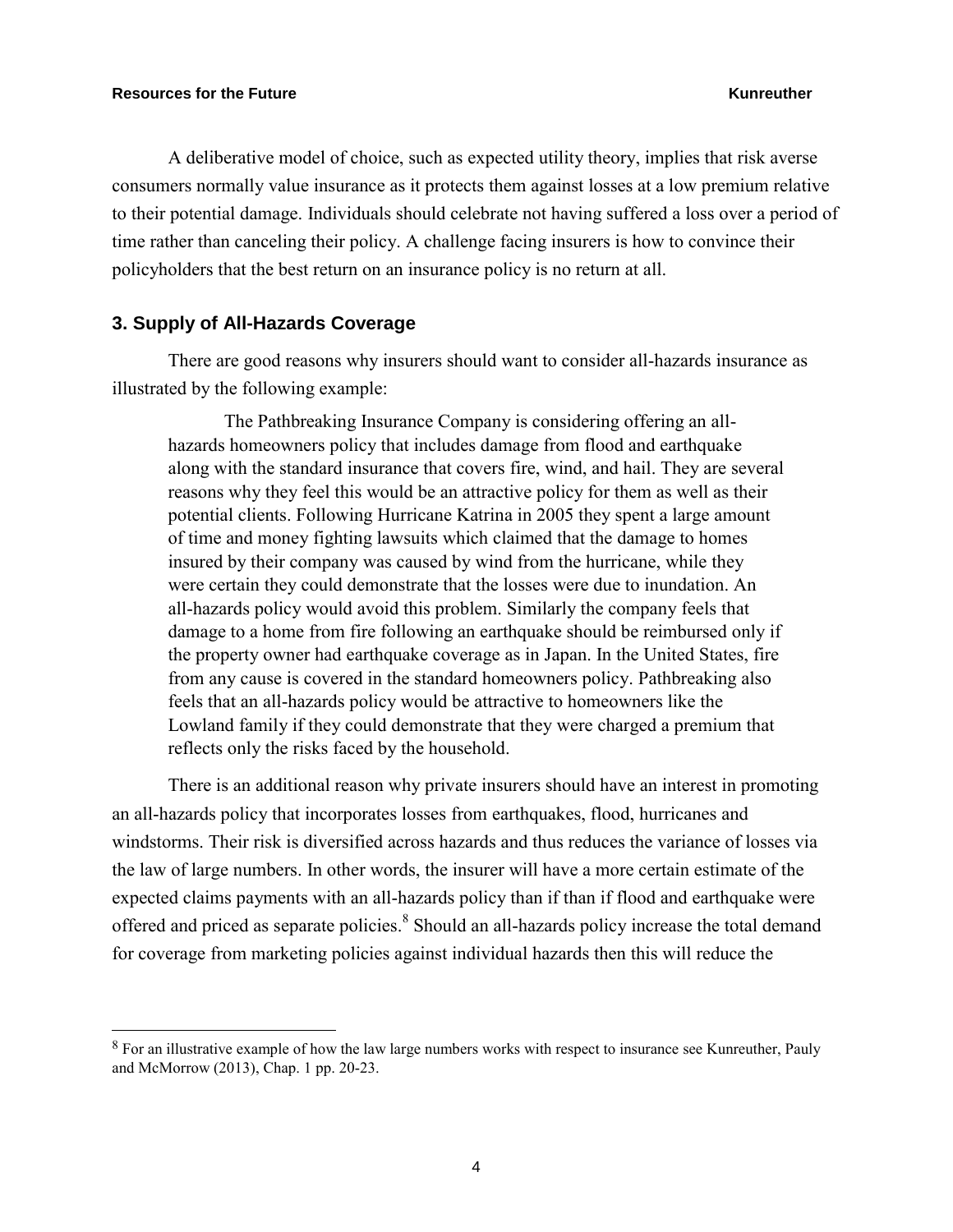$\overline{a}$ 

A deliberative model of choice, such as expected utility theory, implies that risk averse consumers normally value insurance as it protects them against losses at a low premium relative to their potential damage. Individuals should celebrate not having suffered a loss over a period of time rather than canceling their policy. A challenge facing insurers is how to convince their policyholders that the best return on an insurance policy is no return at all.

### **3. Supply of All-Hazards Coverage**

There are good reasons why insurers should want to consider all-hazards insurance as illustrated by the following example:

The Pathbreaking Insurance Company is considering offering an allhazards homeowners policy that includes damage from flood and earthquake along with the standard insurance that covers fire, wind, and hail. They are several reasons why they feel this would be an attractive policy for them as well as their potential clients. Following Hurricane Katrina in 2005 they spent a large amount of time and money fighting lawsuits which claimed that the damage to homes insured by their company was caused by wind from the hurricane, while they were certain they could demonstrate that the losses were due to inundation. An all-hazards policy would avoid this problem. Similarly the company feels that damage to a home from fire following an earthquake should be reimbursed only if the property owner had earthquake coverage as in Japan. In the United States, fire from any cause is covered in the standard homeowners policy. Pathbreaking also feels that an all-hazards policy would be attractive to homeowners like the Lowland family if they could demonstrate that they were charged a premium that reflects only the risks faced by the household.

There is an additional reason why private insurers should have an interest in promoting an all-hazards policy that incorporates losses from earthquakes, flood, hurricanes and windstorms. Their risk is diversified across hazards and thus reduces the variance of losses via the law of large numbers. In other words, the insurer will have a more certain estimate of the expected claims payments with an all-hazards policy than if than if flood and earthquake were offered and priced as separate policies.<sup>8</sup> Should an all-hazards policy increase the total demand for coverage from marketing policies against individual hazards then this will reduce the

<sup>8</sup> For an illustrative example of how the law large numbers works with respect to insurance see Kunreuther, Pauly and McMorrow (2013), Chap. 1 pp. 20-23.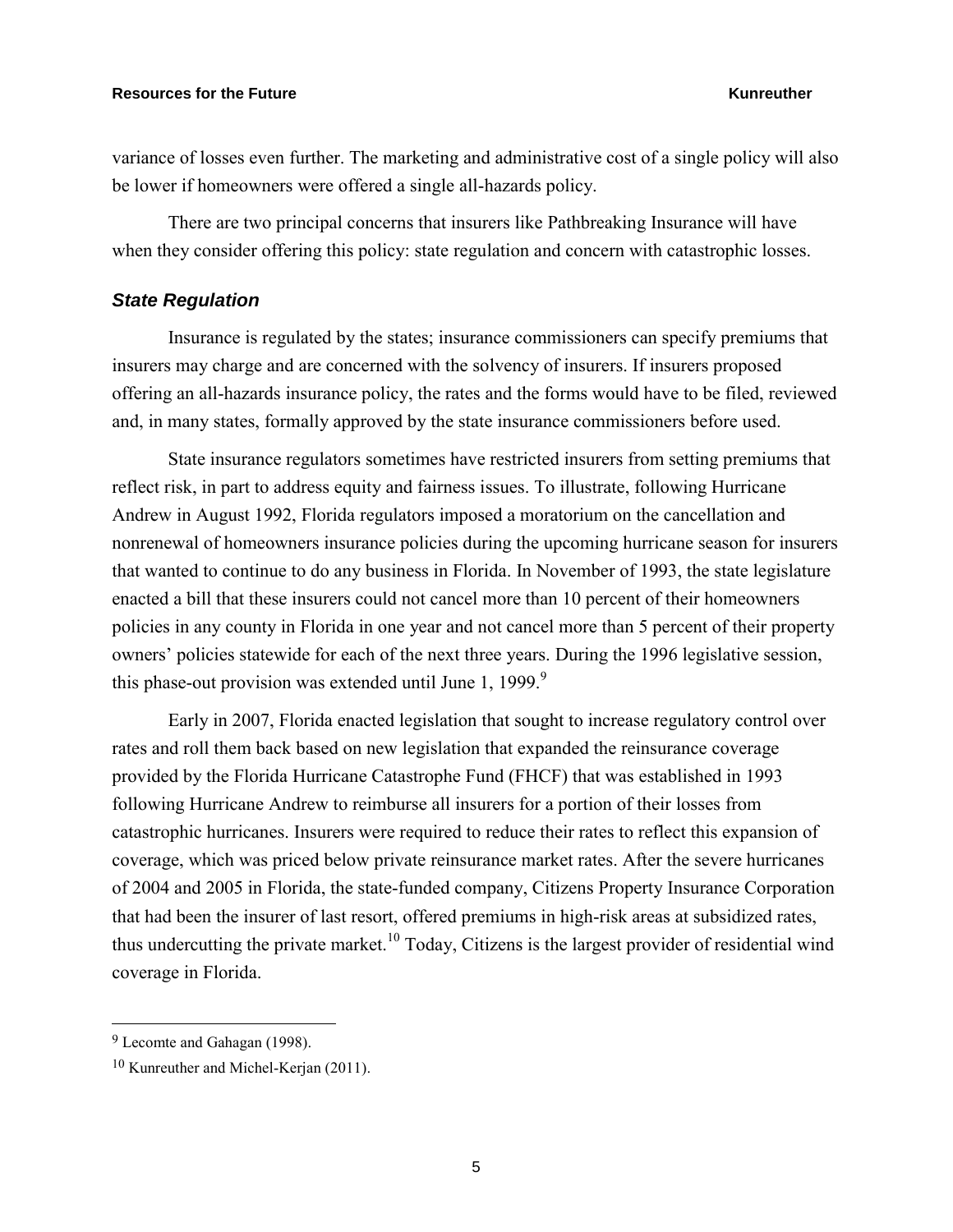variance of losses even further. The marketing and administrative cost of a single policy will also be lower if homeowners were offered a single all-hazards policy.

There are two principal concerns that insurers like Pathbreaking Insurance will have when they consider offering this policy: state regulation and concern with catastrophic losses.

### *State Regulation*

Insurance is regulated by the states; insurance commissioners can specify premiums that insurers may charge and are concerned with the solvency of insurers. If insurers proposed offering an all-hazards insurance policy, the rates and the forms would have to be filed, reviewed and, in many states, formally approved by the state insurance commissioners before used.

State insurance regulators sometimes have restricted insurers from setting premiums that reflect risk, in part to address equity and fairness issues. To illustrate, following Hurricane Andrew in August 1992, Florida regulators imposed a moratorium on the cancellation and nonrenewal of homeowners insurance policies during the upcoming hurricane season for insurers that wanted to continue to do any business in Florida. In November of 1993, the state legislature enacted a bill that these insurers could not cancel more than 10 percent of their homeowners policies in any county in Florida in one year and not cancel more than 5 percent of their property owners' policies statewide for each of the next three years. During the 1996 legislative session, this phase-out provision was extended until June 1, 1999. $9$ 

Early in 2007, Florida enacted legislation that sought to increase regulatory control over rates and roll them back based on new legislation that expanded the reinsurance coverage provided by the Florida Hurricane Catastrophe Fund (FHCF) that was established in 1993 following Hurricane Andrew to reimburse all insurers for a portion of their losses from catastrophic hurricanes. Insurers were required to reduce their rates to reflect this expansion of coverage, which was priced below private reinsurance market rates. After the severe hurricanes of 2004 and 2005 in Florida, the state-funded company, Citizens Property Insurance Corporation that had been the insurer of last resort, offered premiums in high-risk areas at subsidized rates, thus undercutting the private market.<sup>10</sup> Today, Citizens is the largest provider of residential wind coverage in Florida.

<sup>&</sup>lt;sup>9</sup> Lecomte and Gahagan (1998).

<sup>10</sup> Kunreuther and Michel-Kerjan (2011).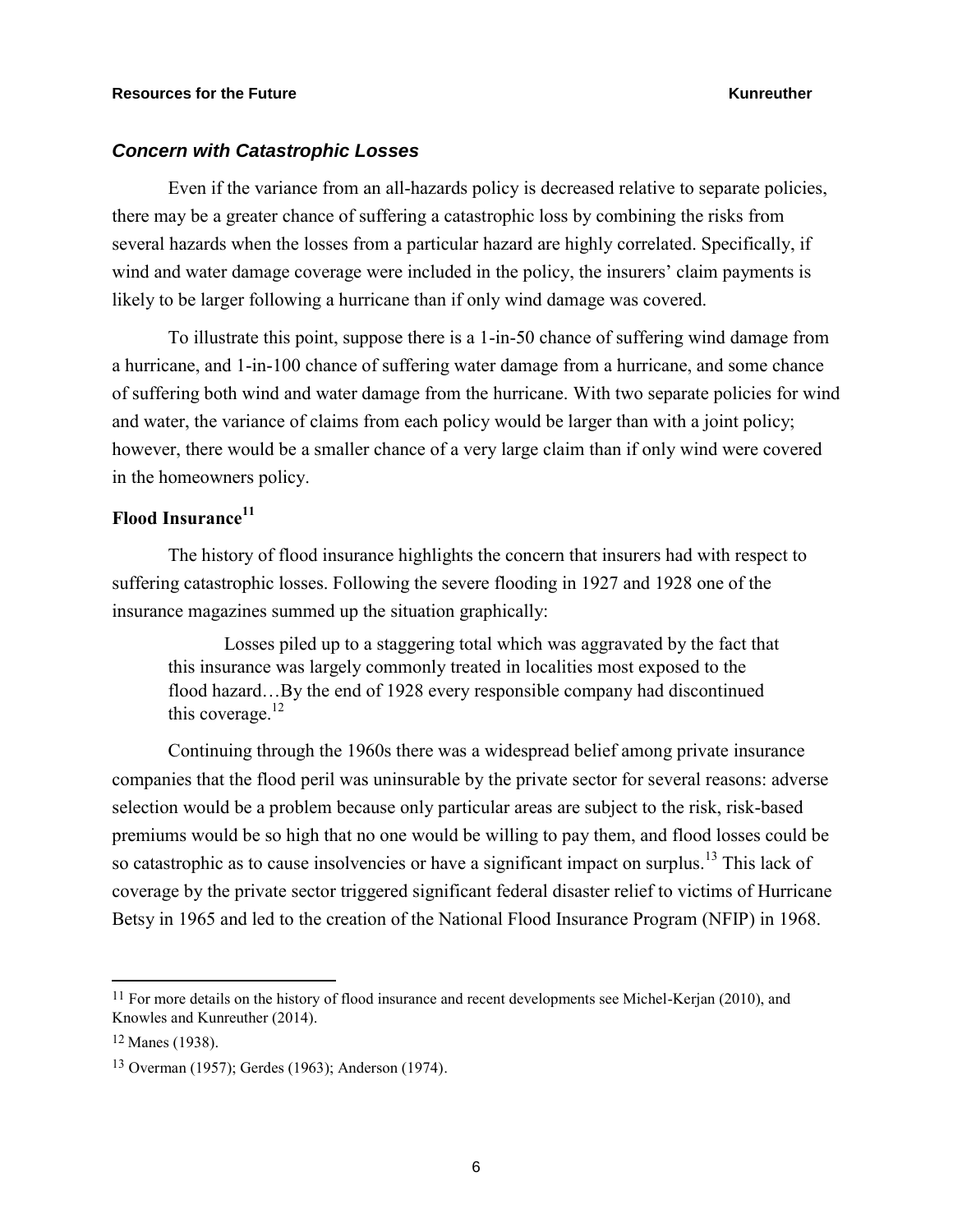### *Concern with Catastrophic Losses*

Even if the variance from an all-hazards policy is decreased relative to separate policies, there may be a greater chance of suffering a catastrophic loss by combining the risks from several hazards when the losses from a particular hazard are highly correlated. Specifically, if wind and water damage coverage were included in the policy, the insurers' claim payments is likely to be larger following a hurricane than if only wind damage was covered.

To illustrate this point, suppose there is a 1-in-50 chance of suffering wind damage from a hurricane, and 1-in-100 chance of suffering water damage from a hurricane, and some chance of suffering both wind and water damage from the hurricane. With two separate policies for wind and water, the variance of claims from each policy would be larger than with a joint policy; however, there would be a smaller chance of a very large claim than if only wind were covered in the homeowners policy.

# **Flood Insurance<sup>11</sup>**

The history of flood insurance highlights the concern that insurers had with respect to suffering catastrophic losses. Following the severe flooding in 1927 and 1928 one of the insurance magazines summed up the situation graphically:

Losses piled up to a staggering total which was aggravated by the fact that this insurance was largely commonly treated in localities most exposed to the flood hazard…By the end of 1928 every responsible company had discontinued this coverage. $^{12}$ 

Continuing through the 1960s there was a widespread belief among private insurance companies that the flood peril was uninsurable by the private sector for several reasons: adverse selection would be a problem because only particular areas are subject to the risk, risk-based premiums would be so high that no one would be willing to pay them, and flood losses could be so catastrophic as to cause insolvencies or have a significant impact on surplus.<sup>13</sup> This lack of coverage by the private sector triggered significant federal disaster relief to victims of Hurricane Betsy in 1965 and led to the creation of the National Flood Insurance Program (NFIP) in 1968.

<sup>&</sup>lt;sup>11</sup> For more details on the history of flood insurance and recent developments see Michel-Kerjan (2010), and Knowles and Kunreuther (2014).

<sup>12</sup> Manes (1938).

<sup>13</sup> Overman (1957); Gerdes (1963); Anderson (1974).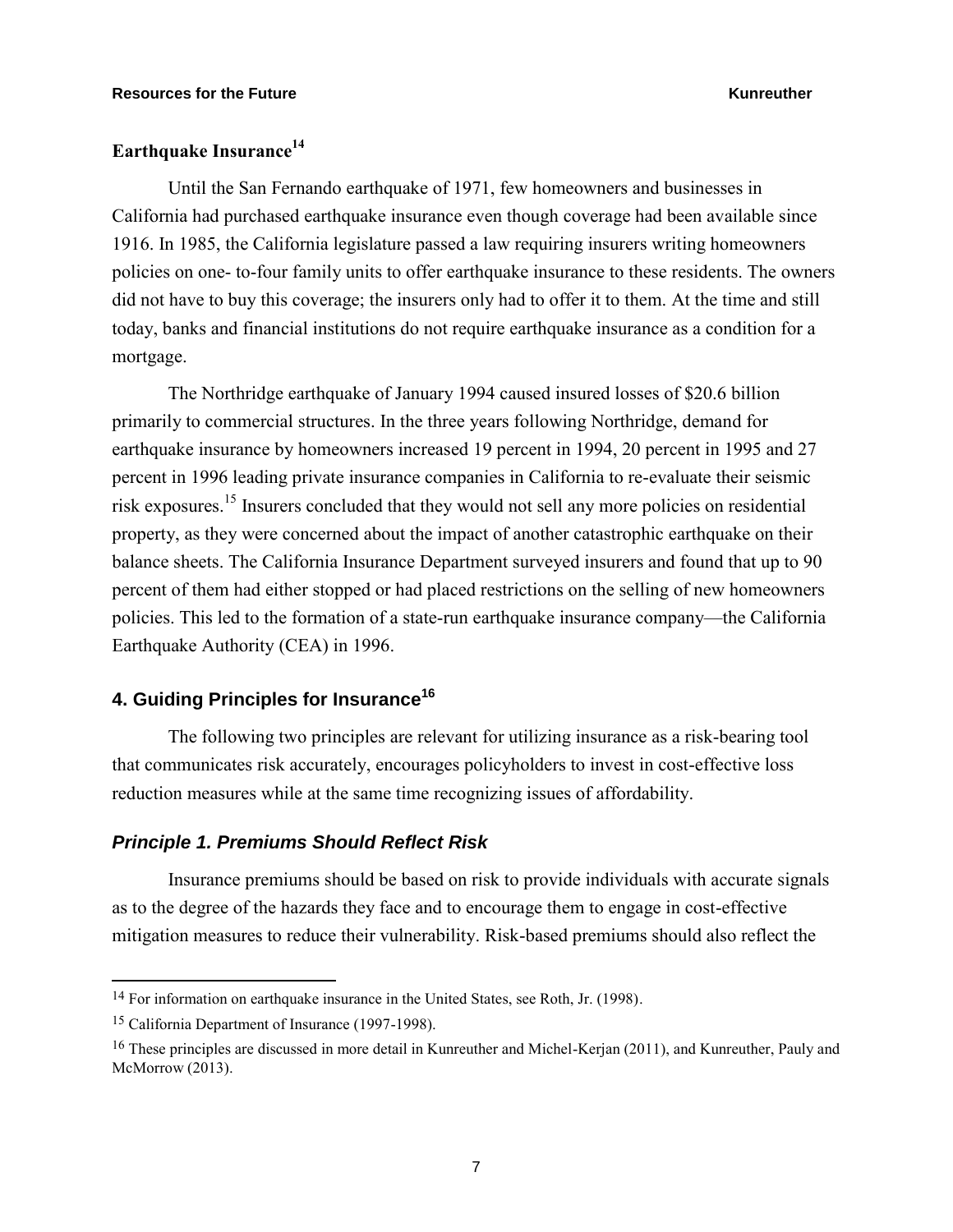# **Earthquake Insurance<sup>14</sup>**

Until the San Fernando earthquake of 1971, few homeowners and businesses in California had purchased earthquake insurance even though coverage had been available since 1916. In 1985, the California legislature passed a law requiring insurers writing homeowners policies on one- to-four family units to offer earthquake insurance to these residents. The owners did not have to buy this coverage; the insurers only had to offer it to them. At the time and still today, banks and financial institutions do not require earthquake insurance as a condition for a mortgage.

The Northridge earthquake of January 1994 caused insured losses of \$20.6 billion primarily to commercial structures. In the three years following Northridge, demand for earthquake insurance by homeowners increased 19 percent in 1994, 20 percent in 1995 and 27 percent in 1996 leading private insurance companies in California to re-evaluate their seismic risk exposures.<sup>15</sup> Insurers concluded that they would not sell any more policies on residential property, as they were concerned about the impact of another catastrophic earthquake on their balance sheets. The California Insurance Department surveyed insurers and found that up to 90 percent of them had either stopped or had placed restrictions on the selling of new homeowners policies. This led to the formation of a state-run earthquake insurance company—the California Earthquake Authority (CEA) in 1996.

# **4. Guiding Principles for Insurance<sup>16</sup>**

The following two principles are relevant for utilizing insurance as a risk-bearing tool that communicates risk accurately, encourages policyholders to invest in cost-effective loss reduction measures while at the same time recognizing issues of affordability.

### *Principle 1. Premiums Should Reflect Risk*

Insurance premiums should be based on risk to provide individuals with accurate signals as to the degree of the hazards they face and to encourage them to engage in cost-effective mitigation measures to reduce their vulnerability. Risk-based premiums should also reflect the

<sup>&</sup>lt;sup>14</sup> For information on earthquake insurance in the United States, see Roth, Jr. (1998).

<sup>15</sup> California Department of Insurance (1997-1998).

<sup>16</sup> These principles are discussed in more detail in Kunreuther and Michel-Kerjan (2011), and Kunreuther, Pauly and McMorrow (2013).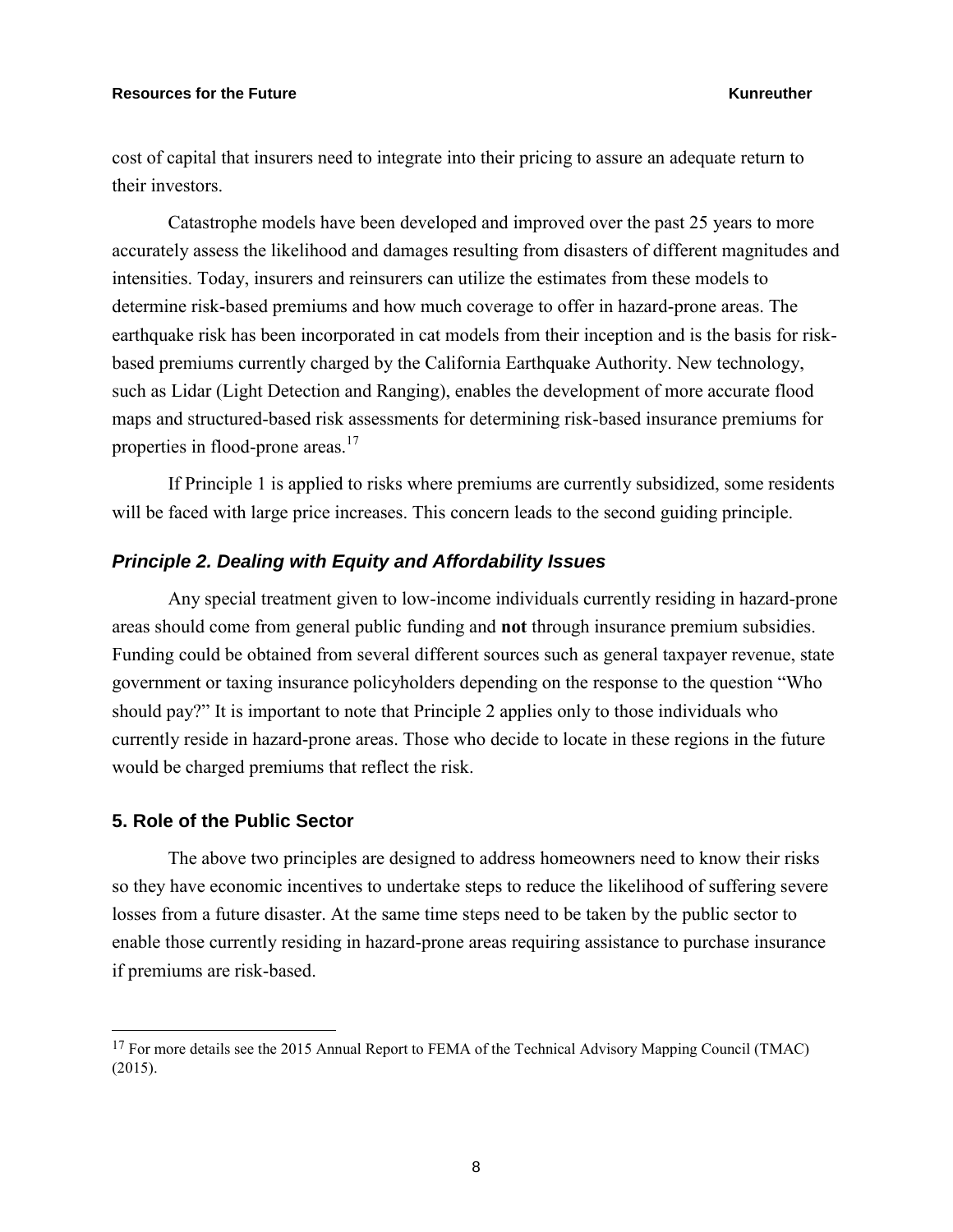cost of capital that insurers need to integrate into their pricing to assure an adequate return to their investors.

Catastrophe models have been developed and improved over the past 25 years to more accurately assess the likelihood and damages resulting from disasters of different magnitudes and intensities. Today, insurers and reinsurers can utilize the estimates from these models to determine risk-based premiums and how much coverage to offer in hazard-prone areas. The earthquake risk has been incorporated in cat models from their inception and is the basis for riskbased premiums currently charged by the California Earthquake Authority. New technology, such as Lidar (Light Detection and Ranging), enables the development of more accurate flood maps and structured-based risk assessments for determining risk-based insurance premiums for properties in flood-prone areas.<sup>17</sup>

If Principle 1 is applied to risks where premiums are currently subsidized, some residents will be faced with large price increases. This concern leads to the second guiding principle.

### *Principle 2. Dealing with Equity and Affordability Issues*

Any special treatment given to low-income individuals currently residing in hazard-prone areas should come from general public funding and **not** through insurance premium subsidies. Funding could be obtained from several different sources such as general taxpayer revenue, state government or taxing insurance policyholders depending on the response to the question "Who should pay?" It is important to note that Principle 2 applies only to those individuals who currently reside in hazard-prone areas. Those who decide to locate in these regions in the future would be charged premiums that reflect the risk.

### **5. Role of the Public Sector**

 $\overline{a}$ 

The above two principles are designed to address homeowners need to know their risks so they have economic incentives to undertake steps to reduce the likelihood of suffering severe losses from a future disaster. At the same time steps need to be taken by the public sector to enable those currently residing in hazard-prone areas requiring assistance to purchase insurance if premiums are risk-based.

<sup>&</sup>lt;sup>17</sup> For more details see the 2015 Annual Report to FEMA of the Technical Advisory Mapping Council (TMAC) (2015).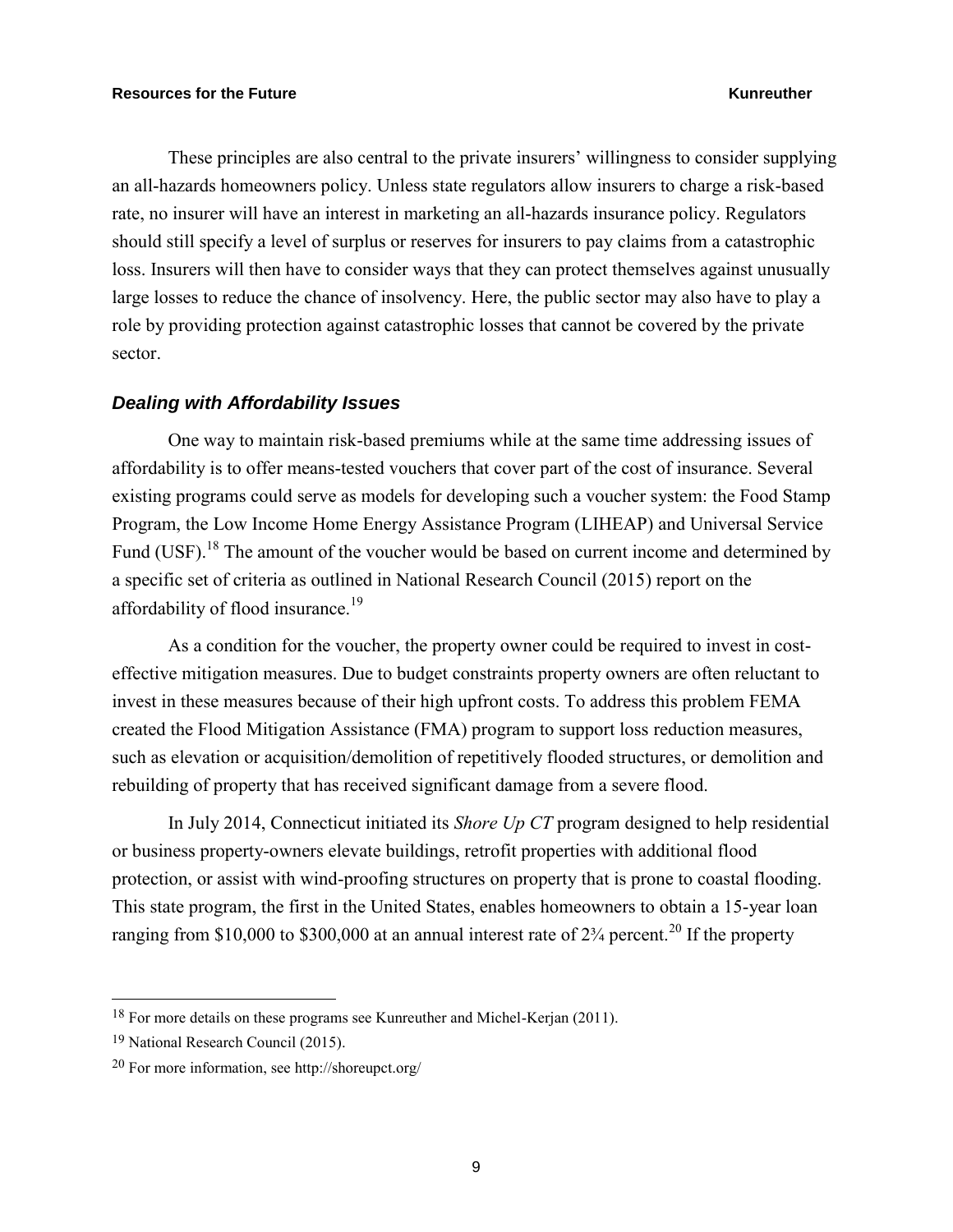These principles are also central to the private insurers' willingness to consider supplying an all-hazards homeowners policy. Unless state regulators allow insurers to charge a risk-based rate, no insurer will have an interest in marketing an all-hazards insurance policy. Regulators should still specify a level of surplus or reserves for insurers to pay claims from a catastrophic loss. Insurers will then have to consider ways that they can protect themselves against unusually large losses to reduce the chance of insolvency. Here, the public sector may also have to play a role by providing protection against catastrophic losses that cannot be covered by the private sector.

### *Dealing with Affordability Issues*

One way to maintain risk-based premiums while at the same time addressing issues of affordability is to offer means-tested vouchers that cover part of the cost of insurance. Several existing programs could serve as models for developing such a voucher system: the Food Stamp Program, the Low Income Home Energy Assistance Program (LIHEAP) and Universal Service Fund (USF).<sup>18</sup> The amount of the voucher would be based on current income and determined by a specific set of criteria as outlined in National Research Council (2015) report on the affordability of flood insurance.<sup>19</sup>

As a condition for the voucher, the property owner could be required to invest in costeffective mitigation measures. Due to budget constraints property owners are often reluctant to invest in these measures because of their high upfront costs. To address this problem FEMA created the Flood Mitigation Assistance (FMA) program to support loss reduction measures, such as elevation or acquisition/demolition of repetitively flooded structures, or demolition and rebuilding of property that has received significant damage from a severe flood.

In July 2014, Connecticut initiated its *Shore Up CT* program designed to help residential or business property-owners elevate buildings, retrofit properties with additional flood protection, or assist with wind-proofing structures on property that is prone to coastal flooding. This state program, the first in the United States, enables homeowners to obtain a 15-year loan ranging from \$10,000 to \$300,000 at an annual interest rate of  $2\frac{3}{4}$  percent.<sup>20</sup> If the property

<sup>&</sup>lt;sup>18</sup> For more details on these programs see Kunreuther and Michel-Kerjan (2011).

<sup>19</sup> National Research Council (2015).

<sup>20</sup> For more information, see http://shoreupct.org/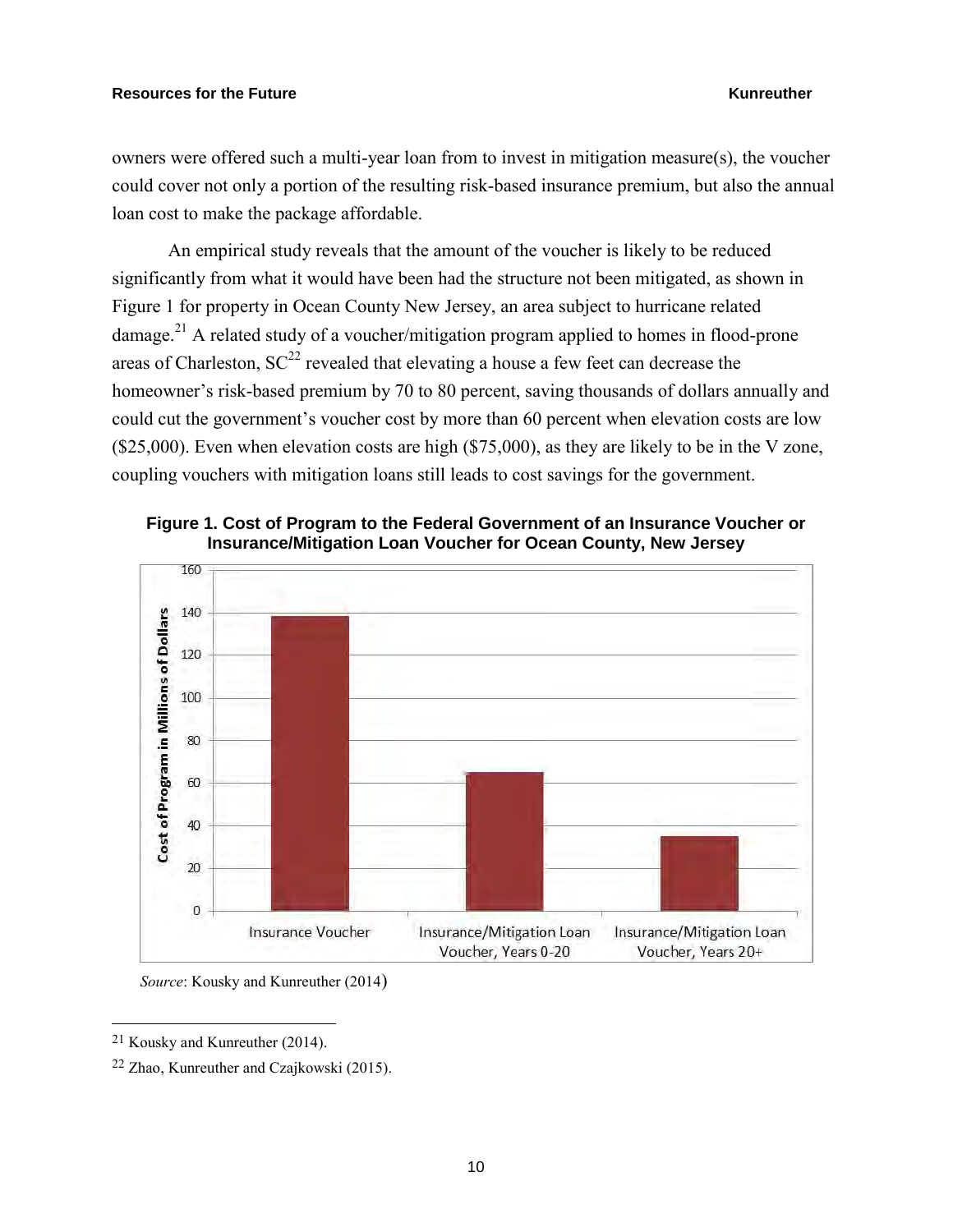owners were offered such a multi-year loan from to invest in mitigation measure(s), the voucher could cover not only a portion of the resulting risk-based insurance premium, but also the annual loan cost to make the package affordable.

An empirical study reveals that the amount of the voucher is likely to be reduced significantly from what it would have been had the structure not been mitigated, as shown in Figure 1 for property in Ocean County New Jersey, an area subject to hurricane related damage.<sup>21</sup> A related study of a voucher/mitigation program applied to homes in flood-prone areas of Charleston,  $SC^{22}$  revealed that elevating a house a few feet can decrease the homeowner's risk-based premium by 70 to 80 percent, saving thousands of dollars annually and could cut the government's voucher cost by more than 60 percent when elevation costs are low  $($25,000)$ . Even when elevation costs are high  $($75,000)$ , as they are likely to be in the V zone, coupling vouchers with mitigation loans still leads to cost savings for the government.



**Figure 1. Cost of Program to the Federal Government of an Insurance Voucher or Insurance/Mitigation Loan Voucher for Ocean County, New Jersey** 

*Source*: Kousky and Kunreuther (2014)

21 Kousky and Kunreuther (2014).

<sup>22</sup> Zhao, Kunreuther and Czajkowski (2015).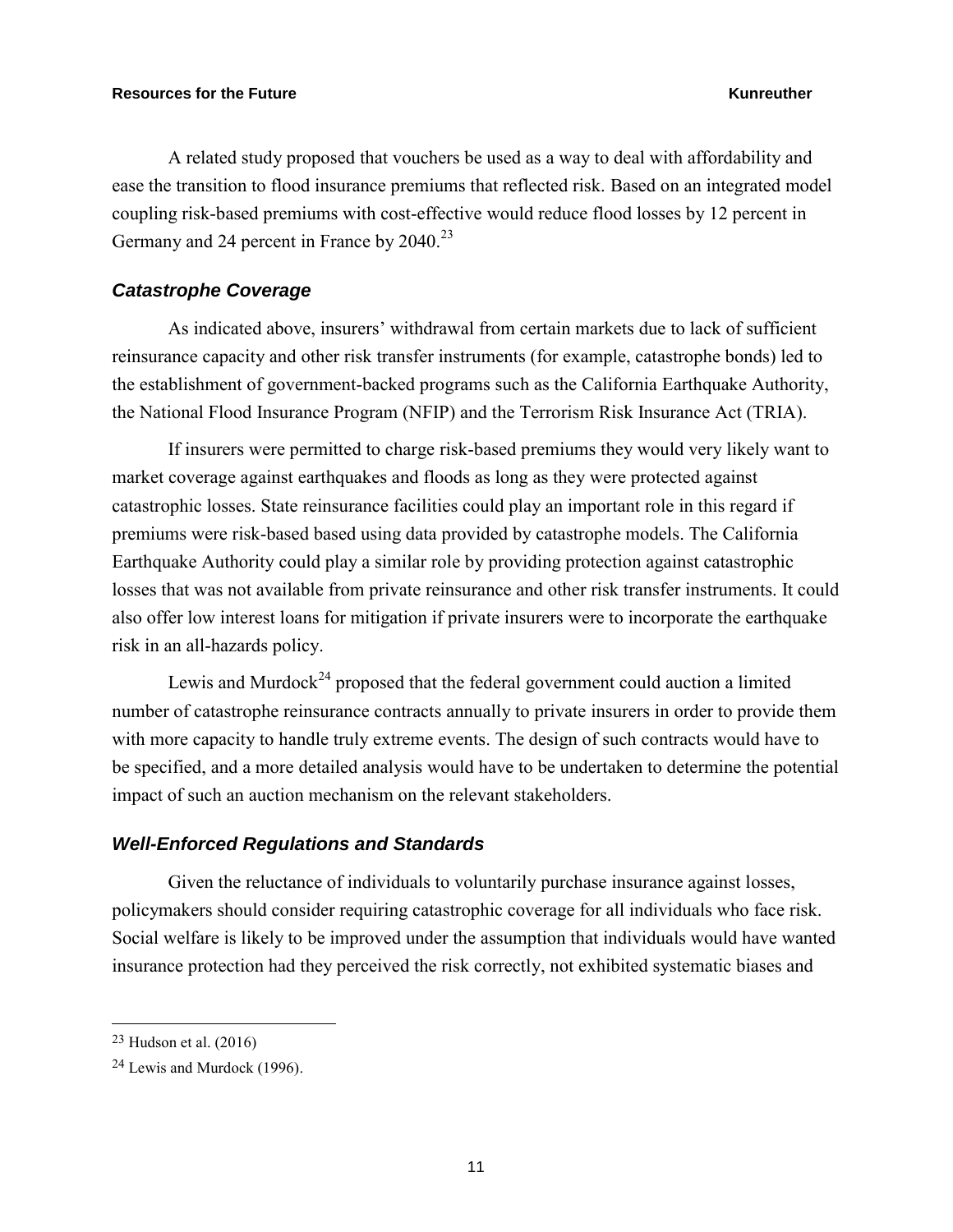A related study proposed that vouchers be used as a way to deal with affordability and ease the transition to flood insurance premiums that reflected risk. Based on an integrated model coupling risk-based premiums with cost-effective would reduce flood losses by 12 percent in Germany and 24 percent in France by 2040.<sup>23</sup>

### *Catastrophe Coverage*

As indicated above, insurers' withdrawal from certain markets due to lack of sufficient reinsurance capacity and other risk transfer instruments (for example, catastrophe bonds) led to the establishment of government-backed programs such as the California Earthquake Authority, the National Flood Insurance Program (NFIP) and the Terrorism Risk Insurance Act (TRIA).

If insurers were permitted to charge risk-based premiums they would very likely want to market coverage against earthquakes and floods as long as they were protected against catastrophic losses. State reinsurance facilities could play an important role in this regard if premiums were risk-based based using data provided by catastrophe models. The California Earthquake Authority could play a similar role by providing protection against catastrophic losses that was not available from private reinsurance and other risk transfer instruments. It could also offer low interest loans for mitigation if private insurers were to incorporate the earthquake risk in an all-hazards policy.

Lewis and Murdock<sup>24</sup> proposed that the federal government could auction a limited number of catastrophe reinsurance contracts annually to private insurers in order to provide them with more capacity to handle truly extreme events. The design of such contracts would have to be specified, and a more detailed analysis would have to be undertaken to determine the potential impact of such an auction mechanism on the relevant stakeholders.

### *Well-Enforced Regulations and Standards*

Given the reluctance of individuals to voluntarily purchase insurance against losses, policymakers should consider requiring catastrophic coverage for all individuals who face risk. Social welfare is likely to be improved under the assumption that individuals would have wanted insurance protection had they perceived the risk correctly, not exhibited systematic biases and

<sup>23</sup> Hudson et al. (2016)

<sup>24</sup> Lewis and Murdock (1996).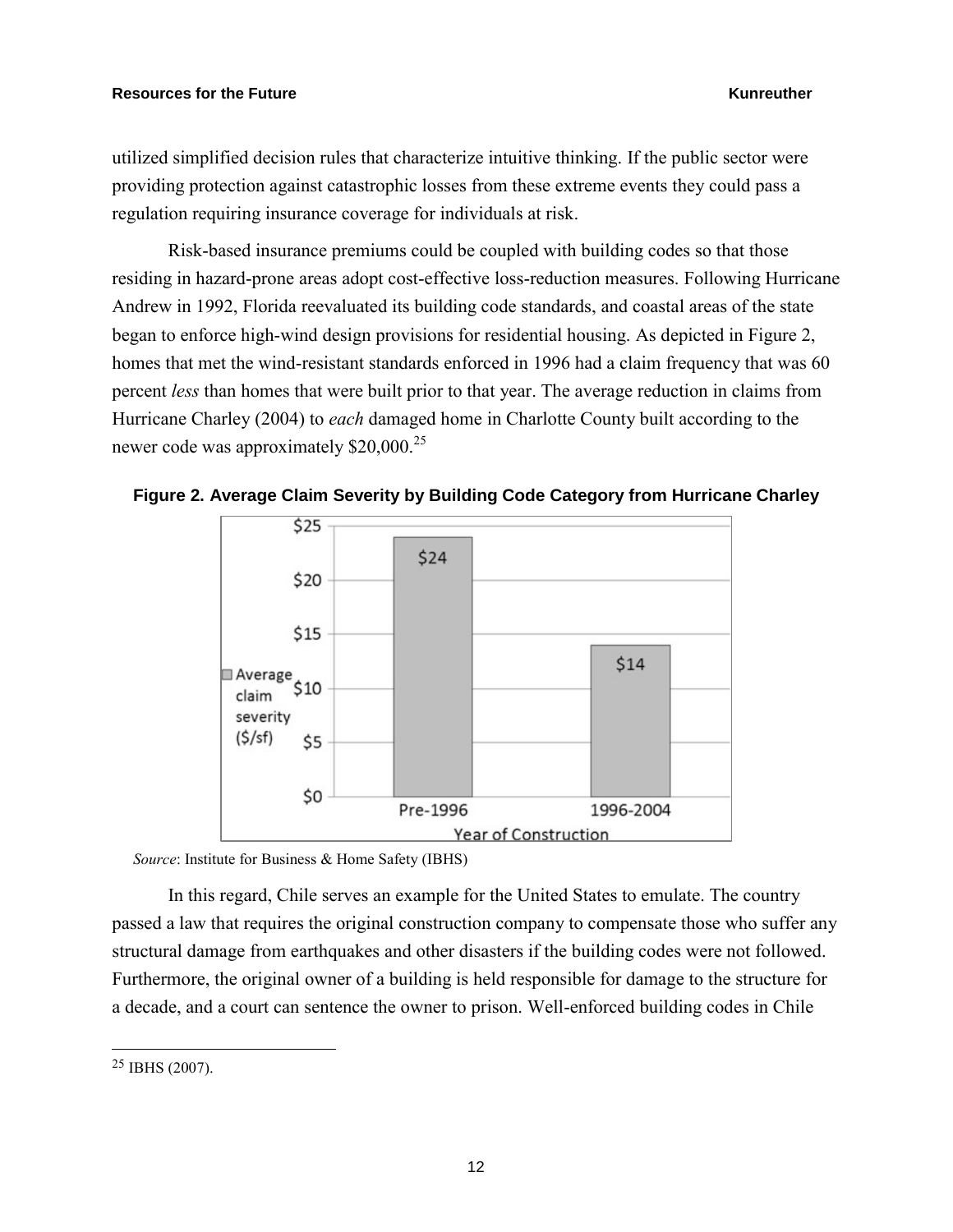utilized simplified decision rules that characterize intuitive thinking. If the public sector were providing protection against catastrophic losses from these extreme events they could pass a regulation requiring insurance coverage for individuals at risk.

Risk-based insurance premiums could be coupled with building codes so that those residing in hazard-prone areas adopt cost-effective loss-reduction measures. Following Hurricane Andrew in 1992, Florida reevaluated its building code standards, and coastal areas of the state began to enforce high-wind design provisions for residential housing. As depicted in Figure 2, homes that met the wind-resistant standards enforced in 1996 had a claim frequency that was 60 percent *less* than homes that were built prior to that year. The average reduction in claims from Hurricane Charley (2004) to *each* damaged home in Charlotte County built according to the newer code was approximately \$20,000.<sup>25</sup>





*Source*: Institute for Business & Home Safety (IBHS)

In this regard, Chile serves an example for the United States to emulate. The country passed a law that requires the original construction company to compensate those who suffer any structural damage from earthquakes and other disasters if the building codes were not followed. Furthermore, the original owner of a building is held responsible for damage to the structure for a decade, and a court can sentence the owner to prison. Well-enforced building codes in Chile

<sup>25</sup> IBHS (2007).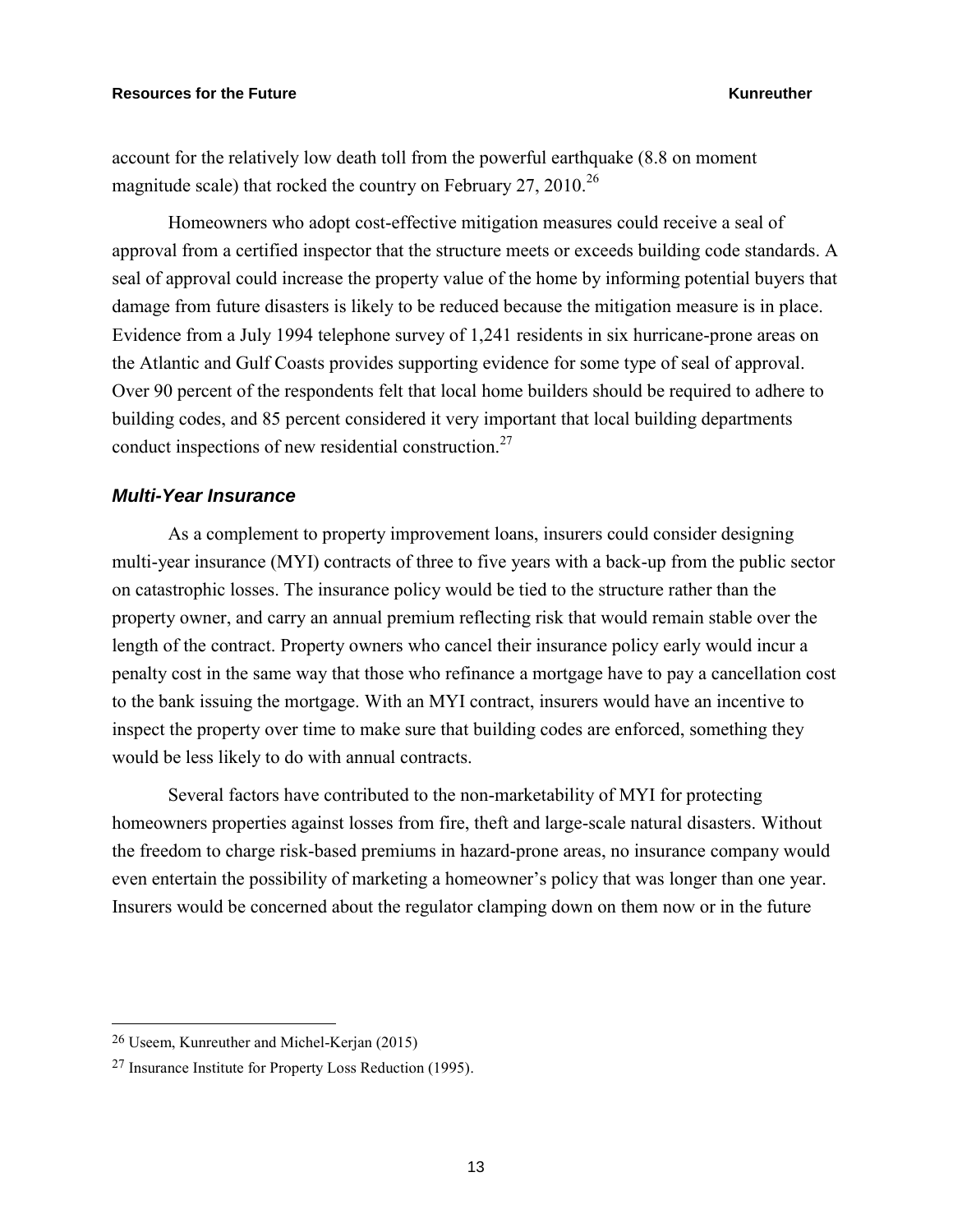account for the relatively low death toll from the powerful earthquake (8.8 on moment magnitude scale) that rocked the country on February 27, 2010.<sup>26</sup>

Homeowners who adopt cost-effective mitigation measures could receive a seal of approval from a certified inspector that the structure meets or exceeds building code standards. A seal of approval could increase the property value of the home by informing potential buyers that damage from future disasters is likely to be reduced because the mitigation measure is in place. Evidence from a July 1994 telephone survey of 1,241 residents in six hurricane-prone areas on the Atlantic and Gulf Coasts provides supporting evidence for some type of seal of approval. Over 90 percent of the respondents felt that local home builders should be required to adhere to building codes, and 85 percent considered it very important that local building departments conduct inspections of new residential construction.<sup>27</sup>

### *Multi-Year Insurance*

As a complement to property improvement loans, insurers could consider designing multi-year insurance (MYI) contracts of three to five years with a back-up from the public sector on catastrophic losses. The insurance policy would be tied to the structure rather than the property owner, and carry an annual premium reflecting risk that would remain stable over the length of the contract. Property owners who cancel their insurance policy early would incur a penalty cost in the same way that those who refinance a mortgage have to pay a cancellation cost to the bank issuing the mortgage. With an MYI contract, insurers would have an incentive to inspect the property over time to make sure that building codes are enforced, something they would be less likely to do with annual contracts.

Several factors have contributed to the non-marketability of MYI for protecting homeowners properties against losses from fire, theft and large-scale natural disasters. Without the freedom to charge risk-based premiums in hazard-prone areas, no insurance company would even entertain the possibility of marketing a homeowner's policy that was longer than one year. Insurers would be concerned about the regulator clamping down on them now or in the future

<sup>26</sup> Useem, Kunreuther and Michel-Kerjan (2015)

<sup>27</sup> Insurance Institute for Property Loss Reduction (1995).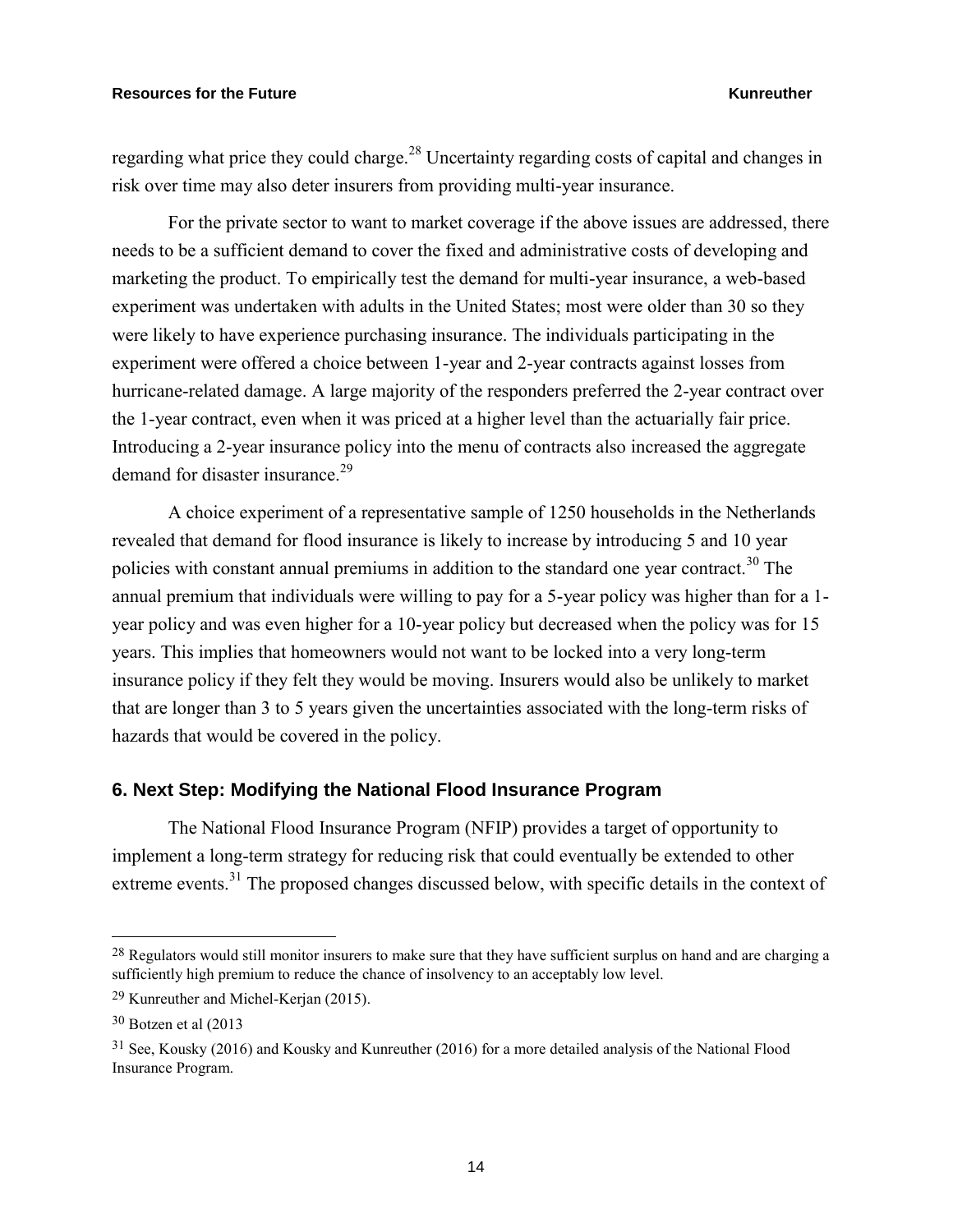regarding what price they could charge.<sup>28</sup> Uncertainty regarding costs of capital and changes in risk over time may also deter insurers from providing multi-year insurance.

For the private sector to want to market coverage if the above issues are addressed, there needs to be a sufficient demand to cover the fixed and administrative costs of developing and marketing the product. To empirically test the demand for multi-year insurance, a web-based experiment was undertaken with adults in the United States; most were older than 30 so they were likely to have experience purchasing insurance. The individuals participating in the experiment were offered a choice between 1-year and 2-year contracts against losses from hurricane-related damage. A large majority of the responders preferred the 2-year contract over the 1-year contract, even when it was priced at a higher level than the actuarially fair price. Introducing a 2-year insurance policy into the menu of contracts also increased the aggregate demand for disaster insurance.<sup>29</sup>

A choice experiment of a representative sample of 1250 households in the Netherlands revealed that demand for flood insurance is likely to increase by introducing 5 and 10 year policies with constant annual premiums in addition to the standard one year contract.<sup>30</sup> The annual premium that individuals were willing to pay for a 5-year policy was higher than for a 1 year policy and was even higher for a 10-year policy but decreased when the policy was for 15 years. This implies that homeowners would not want to be locked into a very long-term insurance policy if they felt they would be moving. Insurers would also be unlikely to market that are longer than 3 to 5 years given the uncertainties associated with the long-term risks of hazards that would be covered in the policy.

### **6. Next Step: Modifying the National Flood Insurance Program**

The National Flood Insurance Program (NFIP) provides a target of opportunity to implement a long-term strategy for reducing risk that could eventually be extended to other extreme events.<sup>31</sup> The proposed changes discussed below, with specific details in the context of

<sup>&</sup>lt;sup>28</sup> Regulators would still monitor insurers to make sure that they have sufficient surplus on hand and are charging a sufficiently high premium to reduce the chance of insolvency to an acceptably low level.

<sup>29</sup> Kunreuther and Michel-Kerjan (2015).

<sup>30</sup> Botzen et al (2013

<sup>31</sup> See, Kousky (2016) and Kousky and Kunreuther (2016) for a more detailed analysis of the National Flood Insurance Program.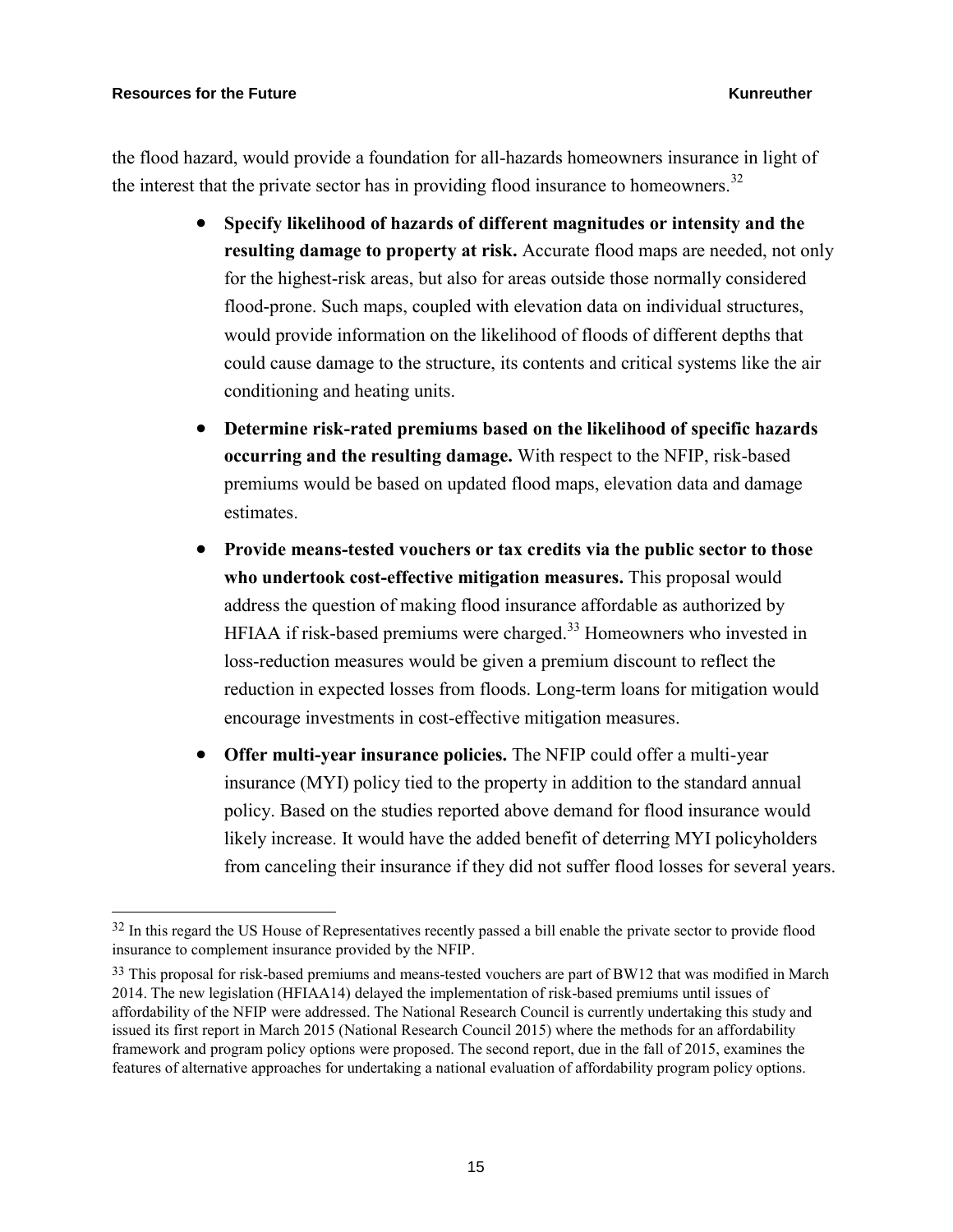$\overline{a}$ 

the flood hazard, would provide a foundation for all-hazards homeowners insurance in light of the interest that the private sector has in providing flood insurance to homeowners.<sup>32</sup>

- **Specify likelihood of hazards of different magnitudes or intensity and the resulting damage to property at risk.** Accurate flood maps are needed, not only for the highest-risk areas, but also for areas outside those normally considered flood-prone. Such maps, coupled with elevation data on individual structures, would provide information on the likelihood of floods of different depths that could cause damage to the structure, its contents and critical systems like the air conditioning and heating units.
- **Determine risk-rated premiums based on the likelihood of specific hazards occurring and the resulting damage.** With respect to the NFIP, risk-based premiums would be based on updated flood maps, elevation data and damage estimates.
- **Provide means-tested vouchers or tax credits via the public sector to those who undertook cost-effective mitigation measures.** This proposal would address the question of making flood insurance affordable as authorized by HFIAA if risk-based premiums were charged.<sup>33</sup> Homeowners who invested in loss-reduction measures would be given a premium discount to reflect the reduction in expected losses from floods. Long-term loans for mitigation would encourage investments in cost-effective mitigation measures.
- **Offer multi-year insurance policies.** The NFIP could offer a multi-year insurance (MYI) policy tied to the property in addition to the standard annual policy. Based on the studies reported above demand for flood insurance would likely increase. It would have the added benefit of deterring MYI policyholders from canceling their insurance if they did not suffer flood losses for several years.

<sup>&</sup>lt;sup>32</sup> In this regard the US House of Representatives recently passed a bill enable the private sector to provide flood insurance to complement insurance provided by the NFIP.

<sup>&</sup>lt;sup>33</sup> This proposal for risk-based premiums and means-tested vouchers are part of BW12 that was modified in March 2014. The new legislation (HFIAA14) delayed the implementation of risk-based premiums until issues of affordability of the NFIP were addressed. The National Research Council is currently undertaking this study and issued its first report in March 2015 (National Research Council 2015) where the methods for an affordability framework and program policy options were proposed. The second report, due in the fall of 2015, examines the features of alternative approaches for undertaking a national evaluation of affordability program policy options.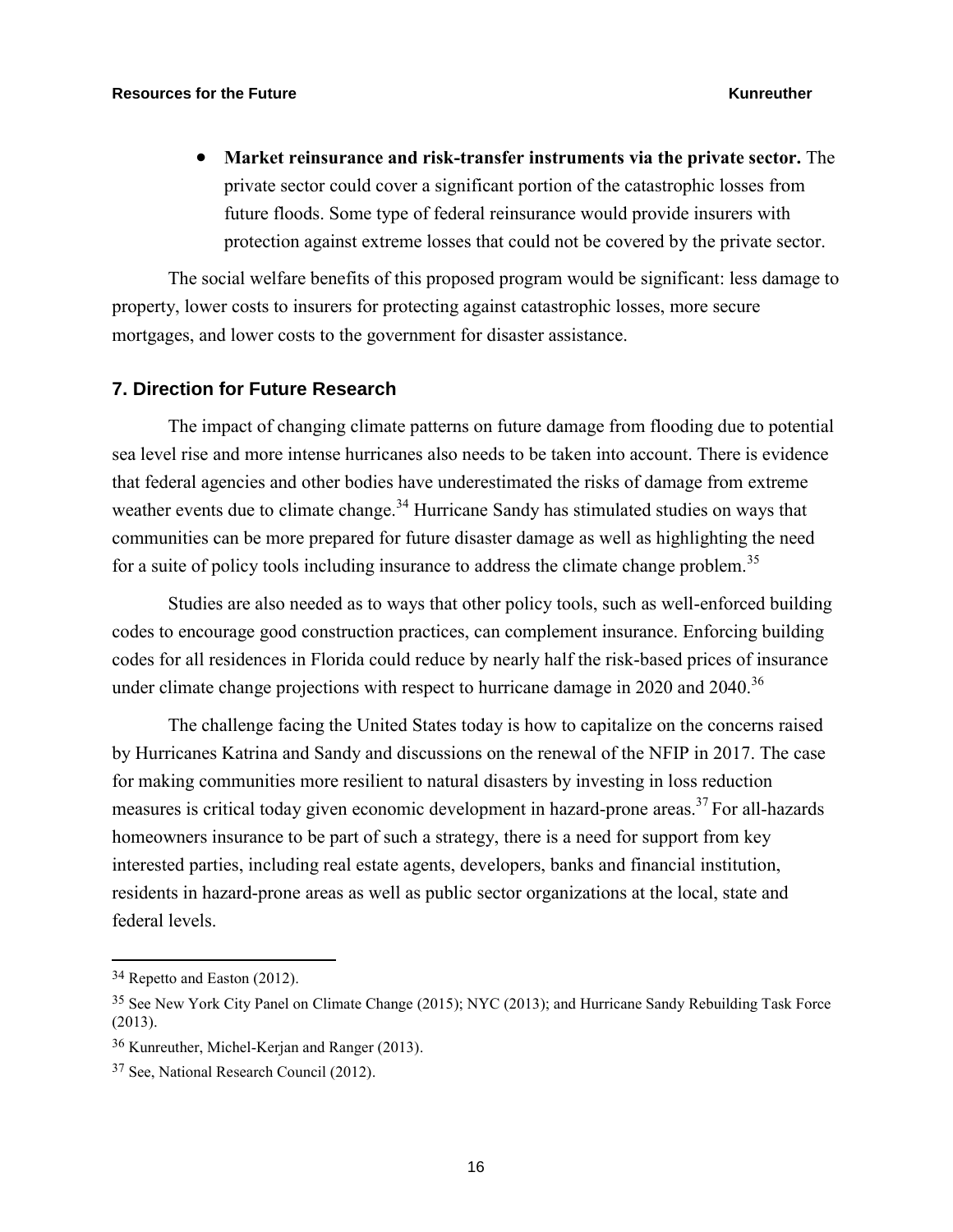**Market reinsurance and risk-transfer instruments via the private sector.** The private sector could cover a significant portion of the catastrophic losses from future floods. Some type of federal reinsurance would provide insurers with protection against extreme losses that could not be covered by the private sector.

The social welfare benefits of this proposed program would be significant: less damage to property, lower costs to insurers for protecting against catastrophic losses, more secure mortgages, and lower costs to the government for disaster assistance.

### **7. Direction for Future Research**

The impact of changing climate patterns on future damage from flooding due to potential sea level rise and more intense hurricanes also needs to be taken into account. There is evidence that federal agencies and other bodies have underestimated the risks of damage from extreme weather events due to climate change.<sup>34</sup> Hurricane Sandy has stimulated studies on ways that communities can be more prepared for future disaster damage as well as highlighting the need for a suite of policy tools including insurance to address the climate change problem.<sup>35</sup>

Studies are also needed as to ways that other policy tools, such as well-enforced building codes to encourage good construction practices, can complement insurance. Enforcing building codes for all residences in Florida could reduce by nearly half the risk-based prices of insurance under climate change projections with respect to hurricane damage in 2020 and  $2040$ .<sup>36</sup>

The challenge facing the United States today is how to capitalize on the concerns raised by Hurricanes Katrina and Sandy and discussions on the renewal of the NFIP in 2017. The case for making communities more resilient to natural disasters by investing in loss reduction measures is critical today given economic development in hazard-prone areas.<sup>37</sup> For all-hazards homeowners insurance to be part of such a strategy, there is a need for support from key interested parties, including real estate agents, developers, banks and financial institution, residents in hazard-prone areas as well as public sector organizations at the local, state and federal levels.

<sup>34</sup> Repetto and Easton (2012).

<sup>35</sup> See New York City Panel on Climate Change (2015); NYC (2013); and Hurricane Sandy Rebuilding Task Force (2013).

<sup>36</sup> Kunreuther, Michel-Kerjan and Ranger (2013).

<sup>37</sup> See, National Research Council (2012).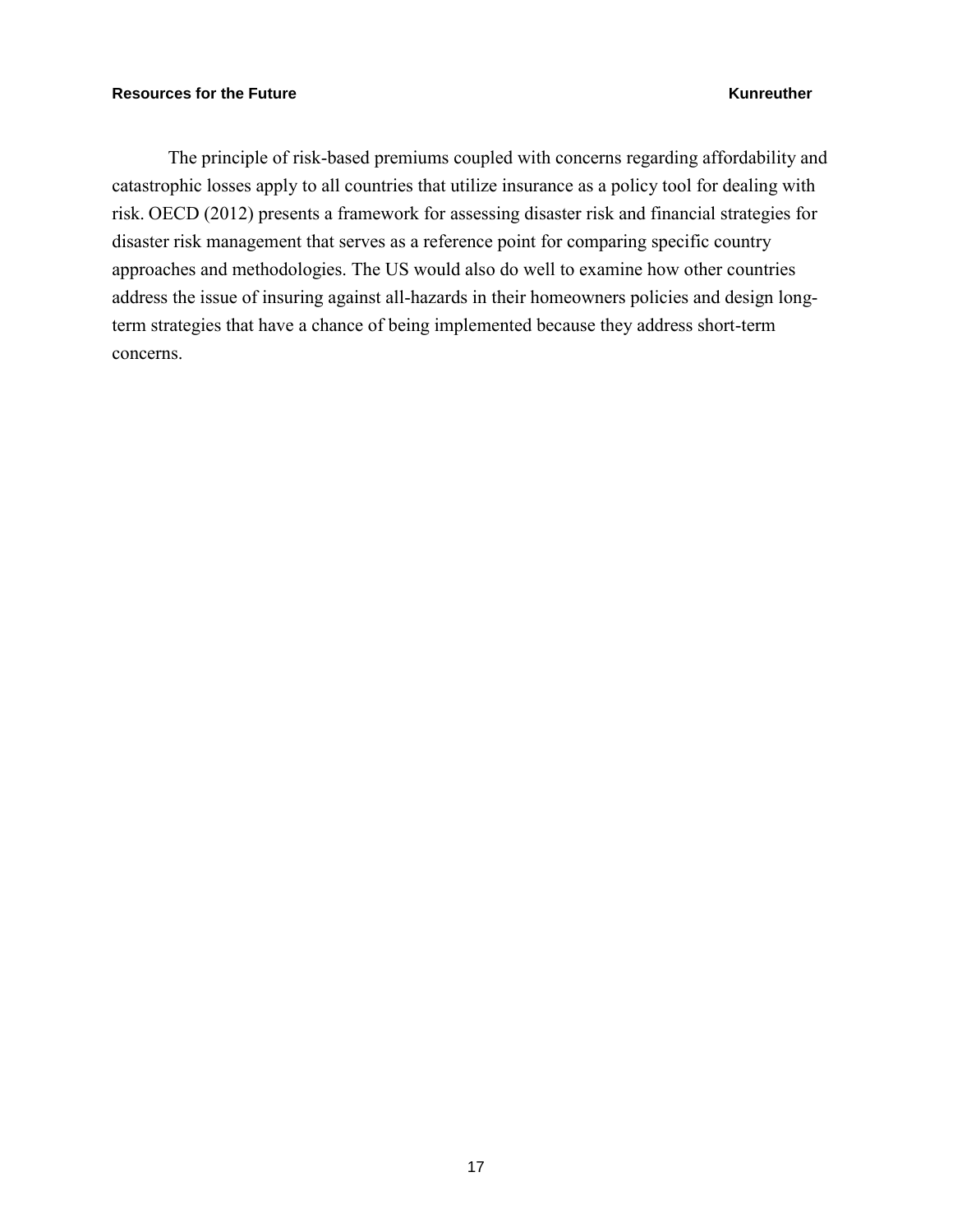The principle of risk-based premiums coupled with concerns regarding affordability and catastrophic losses apply to all countries that utilize insurance as a policy tool for dealing with risk. OECD (2012) presents a framework for assessing disaster risk and financial strategies for disaster risk management that serves as a reference point for comparing specific country approaches and methodologies. The US would also do well to examine how other countries address the issue of insuring against all-hazards in their homeowners policies and design longterm strategies that have a chance of being implemented because they address short-term concerns.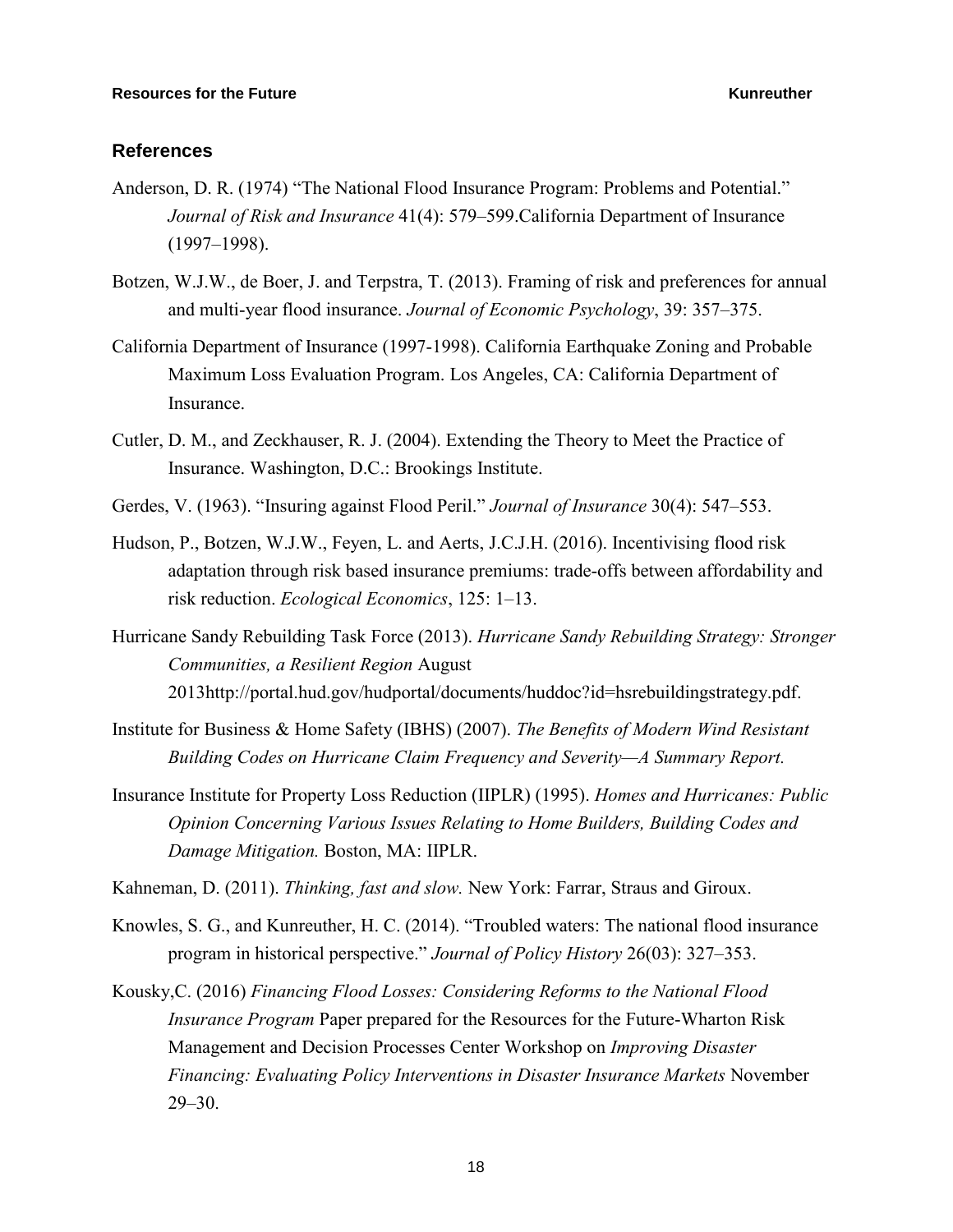### **References**

- Anderson, D. R. (1974) "The National Flood Insurance Program: Problems and Potential." *Journal of Risk and Insurance* 41(4): 579–599.California Department of Insurance (1997–1998).
- Botzen, W.J.W., de Boer, J. and Terpstra, T. (2013). Framing of risk and preferences for annual and multi-year flood insurance. *Journal of Economic Psychology*, 39: 357–375.
- California Department of Insurance (1997-1998). California Earthquake Zoning and Probable Maximum Loss Evaluation Program. Los Angeles, CA: California Department of Insurance.
- Cutler, D. M., and Zeckhauser, R. J. (2004). Extending the Theory to Meet the Practice of Insurance. Washington, D.C.: Brookings Institute.
- Gerdes, V. (1963). "Insuring against Flood Peril." *Journal of Insurance* 30(4): 547–553.
- Hudson, P., Botzen, W.J.W., Feyen, L. and Aerts, J.C.J.H. (2016). Incentivising flood risk adaptation through risk based insurance premiums: trade-offs between affordability and risk reduction. *Ecological Economics*, 125: 1–13.
- Hurricane Sandy Rebuilding Task Force (2013). *Hurricane Sandy Rebuilding Strategy: Stronger Communities, a Resilient Region* August 2013http://portal.hud.gov/hudportal/documents/huddoc?id=hsrebuildingstrategy.pdf.
- Institute for Business & Home Safety (IBHS) (2007). *The Benefits of Modern Wind Resistant Building Codes on Hurricane Claim Frequency and Severity—A Summary Report.*
- Insurance Institute for Property Loss Reduction (IIPLR) (1995). *Homes and Hurricanes: Public Opinion Concerning Various Issues Relating to Home Builders, Building Codes and Damage Mitigation.* Boston, MA: IIPLR.
- Kahneman, D. (2011). *Thinking, fast and slow.* New York: Farrar, Straus and Giroux.
- Knowles, S. G., and Kunreuther, H. C. (2014). "Troubled waters: The national flood insurance program in historical perspective." *Journal of Policy History* 26(03): 327–353.
- Kousky,C. (2016) *Financing Flood Losses: Considering Reforms to the National Flood Insurance Program* Paper prepared for the Resources for the Future-Wharton Risk Management and Decision Processes Center Workshop on *Improving Disaster Financing: Evaluating Policy Interventions in Disaster Insurance Markets* November 29–30.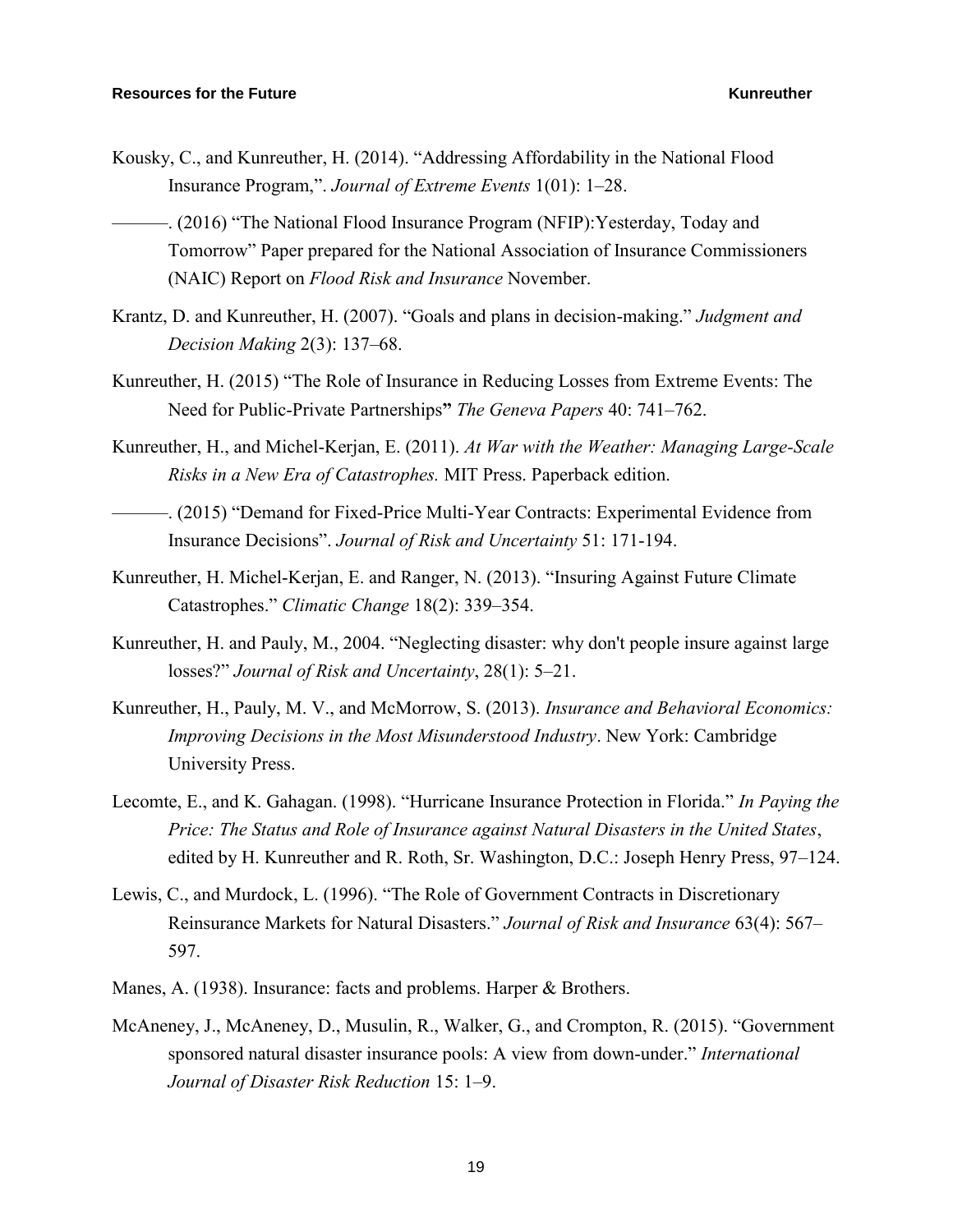Kousky, C., and Kunreuther, H. (2014). "Addressing Affordability in the National Flood Insurance Program,". *Journal of Extreme Events* 1(01): 1–28.

-. (2016) "The National Flood Insurance Program (NFIP): Yesterday, Today and Tomorrow" Paper prepared for the National Association of Insurance Commissioners (NAIC) Report on *Flood Risk and Insurance* November.

- Krantz, D. and Kunreuther, H. (2007). "Goals and plans in decision-making." *Judgment and Decision Making* 2(3): 137–68.
- Kunreuther, H. (2015) "The Role of Insurance in Reducing Losses from Extreme Events: The Need for Public-Private Partnerships**"** *The Geneva Papers* 40: 741–762.
- Kunreuther, H., and Michel-Kerjan, E. (2011). *At War with the Weather: Managing Large-Scale Risks in a New Era of Catastrophes.* MIT Press. Paperback edition.
- ———. (2015) "Demand for Fixed-Price Multi-Year Contracts: Experimental Evidence from Insurance Decisions". *Journal of Risk and Uncertainty* 51: 171-194.
- Kunreuther, H. Michel-Kerjan, E. and Ranger, N. (2013). "Insuring Against Future Climate Catastrophes." *Climatic Change* 18(2): 339–354.
- Kunreuther, H. and Pauly, M., 2004. "Neglecting disaster: why don't people insure against large losses?" *Journal of Risk and Uncertainty*, 28(1): 5–21.
- Kunreuther, H., Pauly, M. V., and McMorrow, S. (2013). *Insurance and Behavioral Economics: Improving Decisions in the Most Misunderstood Industry*. New York: Cambridge University Press.
- Lecomte, E., and K. Gahagan. (1998). "Hurricane Insurance Protection in Florida." *In Paying the Price: The Status and Role of Insurance against Natural Disasters in the United States*, edited by H. Kunreuther and R. Roth, Sr. Washington, D.C.: Joseph Henry Press, 97–124.
- Lewis, C., and Murdock, L. (1996). "The Role of Government Contracts in Discretionary Reinsurance Markets for Natural Disasters." *Journal of Risk and Insurance* 63(4): 567– 597.
- Manes, A. (1938). Insurance: facts and problems. Harper & Brothers.
- McAneney, J., McAneney, D., Musulin, R., Walker, G., and Crompton, R. (2015). "Government sponsored natural disaster insurance pools: A view from down-under." *International Journal of Disaster Risk Reduction* 15: 1–9.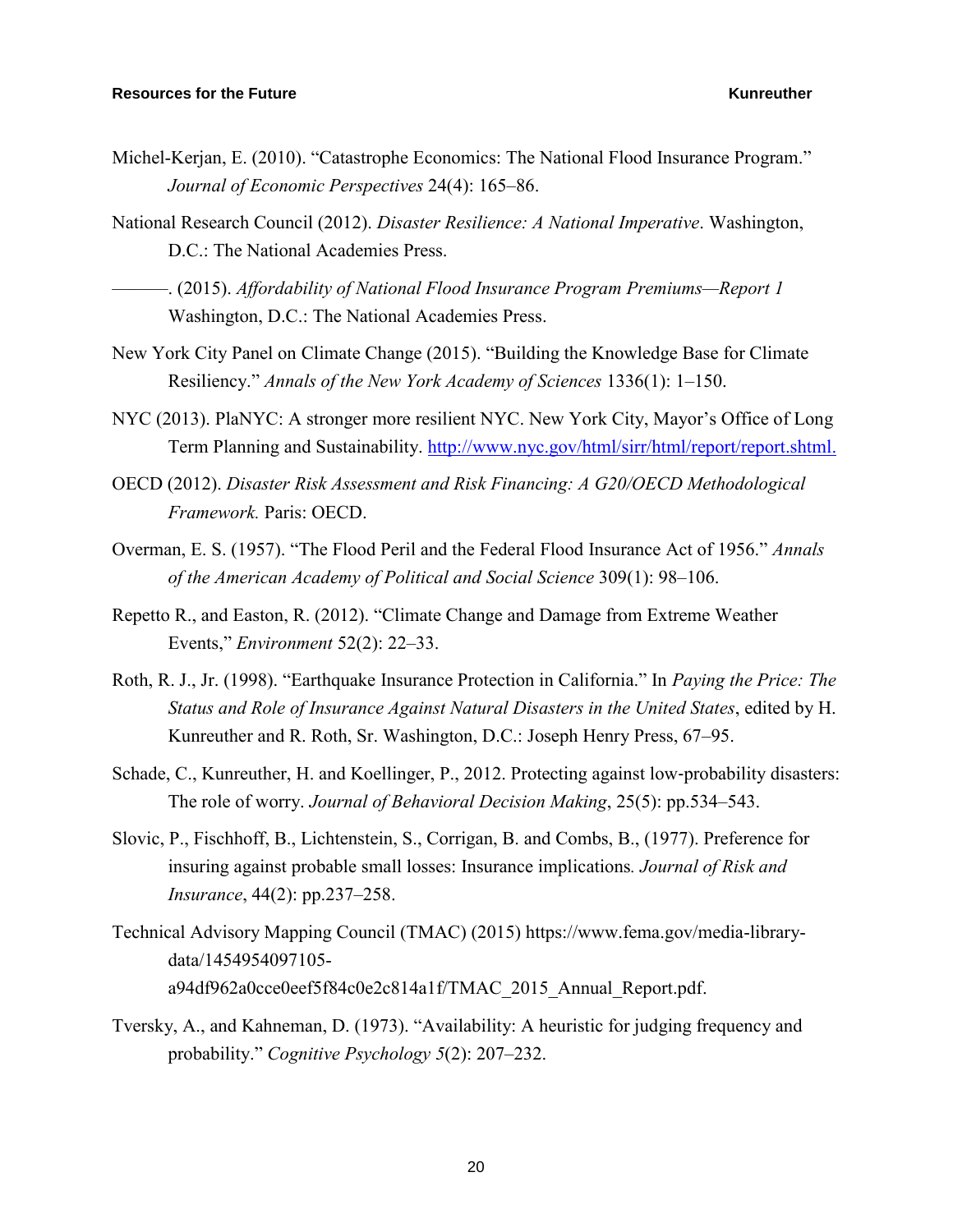- Michel-Kerjan, E. (2010). "Catastrophe Economics: The National Flood Insurance Program." *Journal of Economic Perspectives* 24(4): 165–86.
- National Research Council (2012). *Disaster Resilience: A National Imperative*. Washington, D.C.: The National Academies Press.

———. (2015). *Affordability of National Flood Insurance Program Premiums—Report 1*  Washington, D.C.: The National Academies Press.

- New York City Panel on Climate Change (2015). "Building the Knowledge Base for Climate Resiliency." *Annals of the New York Academy of Sciences* 1336(1): 1–150.
- NYC (2013). PlaNYC: A stronger more resilient NYC. New York City, Mayor's Office of Long Term Planning and Sustainability. [http://www.nyc.gov/html/sirr/html/report/report.shtml.](http://www.nyc.gov/html/sirr/html/report/report.shtml)
- OECD (2012). *Disaster Risk Assessment and Risk Financing: A G20/OECD Methodological Framework.* Paris: OECD.
- Overman, E. S. (1957). "The Flood Peril and the Federal Flood Insurance Act of 1956." *Annals of the American Academy of Political and Social Science* 309(1): 98–106.
- Repetto R., and Easton, R. (2012). "Climate Change and Damage from Extreme Weather Events," *Environment* 52(2): 22–33.
- Roth, R. J., Jr. (1998). "Earthquake Insurance Protection in California." In *Paying the Price: The Status and Role of Insurance Against Natural Disasters in the United States*, edited by H. Kunreuther and R. Roth, Sr. Washington, D.C.: Joseph Henry Press, 67–95.
- Schade, C., Kunreuther, H. and Koellinger, P., 2012. Protecting against low-probability disasters: The role of worry. *Journal of Behavioral Decision Making*, 25(5): pp.534–543.
- Slovic, P., Fischhoff, B., Lichtenstein, S., Corrigan, B. and Combs, B., (1977). Preference for insuring against probable small losses: Insurance implications*. Journal of Risk and Insurance*, 44(2): pp.237–258.
- Technical Advisory Mapping Council (TMAC) (2015) https://www.fema.gov/media-librarydata/1454954097105 a94df962a0cce0eef5f84c0e2c814a1f/TMAC\_2015\_Annual\_Report.pdf.
- Tversky, A., and Kahneman, D. (1973). "Availability: A heuristic for judging frequency and probability." *Cognitive Psychology 5*(2): 207–232.